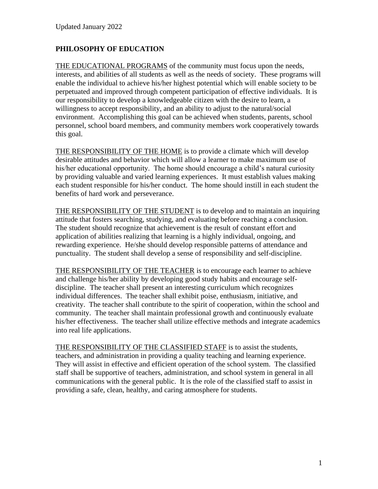# **PHILOSOPHY OF EDUCATION**

THE EDUCATIONAL PROGRAMS of the community must focus upon the needs, interests, and abilities of all students as well as the needs of society. These programs will enable the individual to achieve his/her highest potential which will enable society to be perpetuated and improved through competent participation of effective individuals. It is our responsibility to develop a knowledgeable citizen with the desire to learn, a willingness to accept responsibility, and an ability to adjust to the natural/social environment. Accomplishing this goal can be achieved when students, parents, school personnel, school board members, and community members work cooperatively towards this goal.

THE RESPONSIBILITY OF THE HOME is to provide a climate which will develop desirable attitudes and behavior which will allow a learner to make maximum use of his/her educational opportunity. The home should encourage a child's natural curiosity by providing valuable and varied learning experiences. It must establish values making each student responsible for his/her conduct. The home should instill in each student the benefits of hard work and perseverance.

THE RESPONSIBILITY OF THE STUDENT is to develop and to maintain an inquiring attitude that fosters searching, studying, and evaluating before reaching a conclusion. The student should recognize that achievement is the result of constant effort and application of abilities realizing that learning is a highly individual, ongoing, and rewarding experience. He/she should develop responsible patterns of attendance and punctuality. The student shall develop a sense of responsibility and self-discipline.

THE RESPONSIBILITY OF THE TEACHER is to encourage each learner to achieve and challenge his/her ability by developing good study habits and encourage selfdiscipline. The teacher shall present an interesting curriculum which recognizes individual differences. The teacher shall exhibit poise, enthusiasm, initiative, and creativity. The teacher shall contribute to the spirit of cooperation, within the school and community. The teacher shall maintain professional growth and continuously evaluate his/her effectiveness. The teacher shall utilize effective methods and integrate academics into real life applications.

THE RESPONSIBILITY OF THE CLASSIFIED STAFF is to assist the students, teachers, and administration in providing a quality teaching and learning experience. They will assist in effective and efficient operation of the school system. The classified staff shall be supportive of teachers, administration, and school system in general in all communications with the general public. It is the role of the classified staff to assist in providing a safe, clean, healthy, and caring atmosphere for students.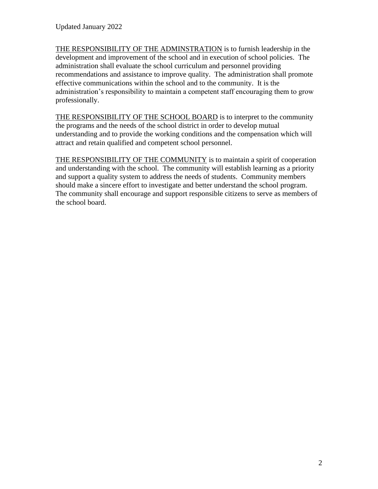THE RESPONSIBILITY OF THE ADMINSTRATION is to furnish leadership in the development and improvement of the school and in execution of school policies. The administration shall evaluate the school curriculum and personnel providing recommendations and assistance to improve quality. The administration shall promote effective communications within the school and to the community. It is the administration's responsibility to maintain a competent staff encouraging them to grow professionally.

THE RESPONSIBILITY OF THE SCHOOL BOARD is to interpret to the community the programs and the needs of the school district in order to develop mutual understanding and to provide the working conditions and the compensation which will attract and retain qualified and competent school personnel.

THE RESPONSIBILITY OF THE COMMUNITY is to maintain a spirit of cooperation and understanding with the school. The community will establish learning as a priority and support a quality system to address the needs of students. Community members should make a sincere effort to investigate and better understand the school program. The community shall encourage and support responsible citizens to serve as members of the school board.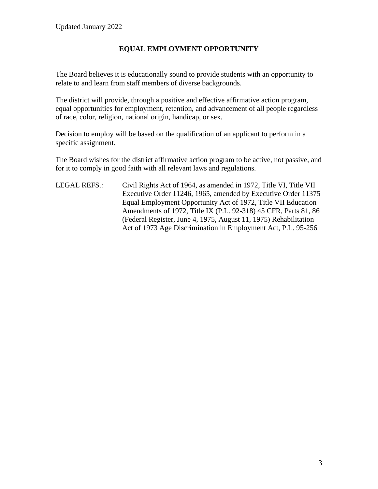# **EQUAL EMPLOYMENT OPPORTUNITY**

The Board believes it is educationally sound to provide students with an opportunity to relate to and learn from staff members of diverse backgrounds.

The district will provide, through a positive and effective affirmative action program, equal opportunities for employment, retention, and advancement of all people regardless of race, color, religion, national origin, handicap, or sex.

Decision to employ will be based on the qualification of an applicant to perform in a specific assignment.

The Board wishes for the district affirmative action program to be active, not passive, and for it to comply in good faith with all relevant laws and regulations.

LEGAL REFS.: Civil Rights Act of 1964, as amended in 1972, Title VI, Title VII Executive Order 11246, 1965, amended by Executive Order 11375 Equal Employment Opportunity Act of 1972, Title VII Education Amendments of 1972, Title IX (P.L. 92-318) 45 CFR, Parts 81, 86 (Federal Register, June 4, 1975, August 11, 1975) Rehabilitation Act of 1973 Age Discrimination in Employment Act, P.L. 95-256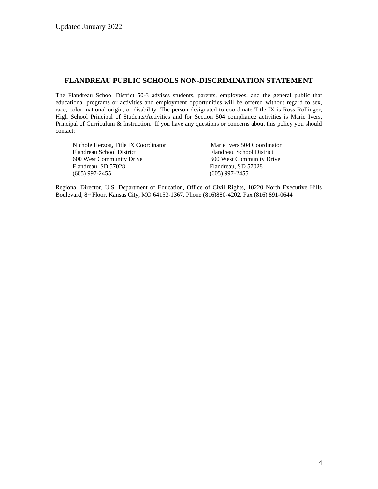#### **FLANDREAU PUBLIC SCHOOLS NON-DISCRIMINATION STATEMENT**

The Flandreau School District 50-3 advises students, parents, employees, and the general public that educational programs or activities and employment opportunities will be offered without regard to sex, race, color, national origin, or disability. The person designated to coordinate Title IX is Ross Rollinger, High School Principal of Students/Activities and for Section 504 compliance activities is Marie Ivers, Principal of Curriculum & Instruction. If you have any questions or concerns about this policy you should contact:

| Marie Ivers 504 Coordinator |
|-----------------------------|
| Flandreau School District   |
| 600 West Community Drive    |
| Flandreau, SD 57028         |
| $(605)$ 997-2455            |
|                             |

Regional Director, U.S. Department of Education, Office of Civil Rights, 10220 North Executive Hills Boulevard, 8th Floor, Kansas City, MO 64153-1367. Phone (816)880-4202. Fax (816) 891-0644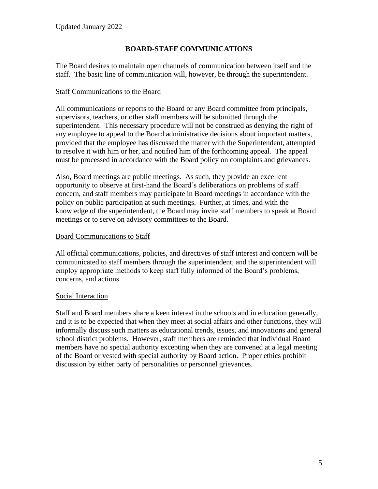# **BOARD-STAFF COMMUNICATIONS**

The Board desires to maintain open channels of communication between itself and the staff. The basic line of communication will, however, be through the superintendent.

### Staff Communications to the Board

All communications or reports to the Board or any Board committee from principals, supervisors, teachers, or other staff members will be submitted through the superintendent. This necessary procedure will not be construed as denying the right of any employee to appeal to the Board administrative decisions about important matters, provided that the employee has discussed the matter with the Superintendent, attempted to resolve it with him or her, and notified him of the forthcoming appeal. The appeal must be processed in accordance with the Board policy on complaints and grievances.

Also, Board meetings are public meetings. As such, they provide an excellent opportunity to observe at first-hand the Board's deliberations on problems of staff concern, and staff members may participate in Board meetings in accordance with the policy on public participation at such meetings. Further, at times, and with the knowledge of the superintendent, the Board may invite staff members to speak at Board meetings or to serve on advisory committees to the Board.

### Board Communications to Staff

All official communications, policies, and directives of staff interest and concern will be communicated to staff members through the superintendent, and the superintendent will employ appropriate methods to keep staff fully informed of the Board's problems, concerns, and actions.

### Social Interaction

Staff and Board members share a keen interest in the schools and in education generally, and it is to be expected that when they meet at social affairs and other functions, they will informally discuss such matters as educational trends, issues, and innovations and general school district problems. However, staff members are reminded that individual Board members have no special authority excepting when they are convened at a legal meeting of the Board or vested with special authority by Board action. Proper ethics prohibit discussion by either party of personalities or personnel grievances.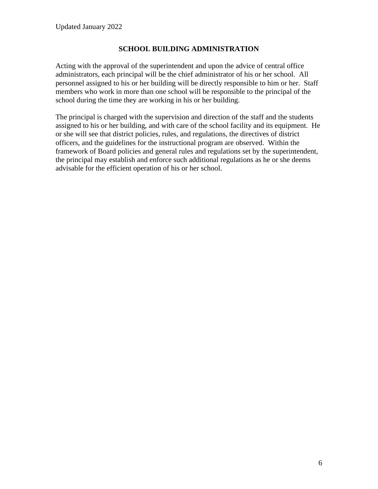### **SCHOOL BUILDING ADMINISTRATION**

Acting with the approval of the superintendent and upon the advice of central office administrators, each principal will be the chief administrator of his or her school. All personnel assigned to his or her building will be directly responsible to him or her. Staff members who work in more than one school will be responsible to the principal of the school during the time they are working in his or her building.

The principal is charged with the supervision and direction of the staff and the students assigned to his or her building, and with care of the school facility and its equipment. He or she will see that district policies, rules, and regulations, the directives of district officers, and the guidelines for the instructional program are observed. Within the framework of Board policies and general rules and regulations set by the superintendent, the principal may establish and enforce such additional regulations as he or she deems advisable for the efficient operation of his or her school.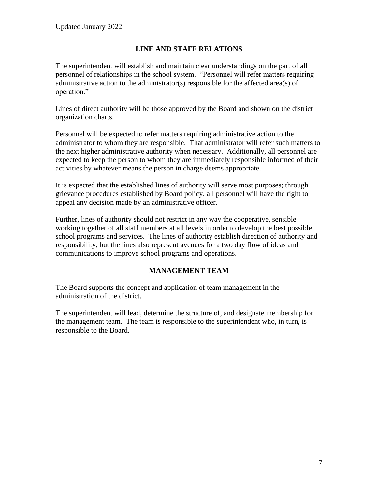## **LINE AND STAFF RELATIONS**

The superintendent will establish and maintain clear understandings on the part of all personnel of relationships in the school system. "Personnel will refer matters requiring administrative action to the administrator(s) responsible for the affected area(s) of operation."

Lines of direct authority will be those approved by the Board and shown on the district organization charts.

Personnel will be expected to refer matters requiring administrative action to the administrator to whom they are responsible. That administrator will refer such matters to the next higher administrative authority when necessary. Additionally, all personnel are expected to keep the person to whom they are immediately responsible informed of their activities by whatever means the person in charge deems appropriate.

It is expected that the established lines of authority will serve most purposes; through grievance procedures established by Board policy, all personnel will have the right to appeal any decision made by an administrative officer.

Further, lines of authority should not restrict in any way the cooperative, sensible working together of all staff members at all levels in order to develop the best possible school programs and services. The lines of authority establish direction of authority and responsibility, but the lines also represent avenues for a two day flow of ideas and communications to improve school programs and operations.

## **MANAGEMENT TEAM**

The Board supports the concept and application of team management in the administration of the district.

The superintendent will lead, determine the structure of, and designate membership for the management team. The team is responsible to the superintendent who, in turn, is responsible to the Board.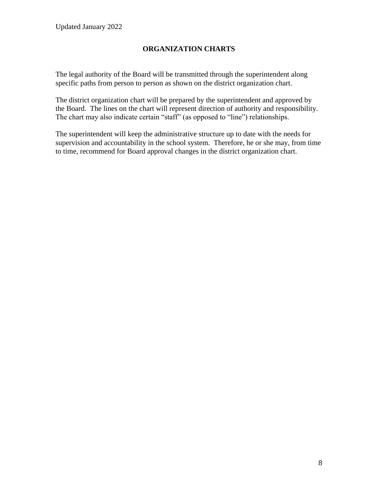# **ORGANIZATION CHARTS**

The legal authority of the Board will be transmitted through the superintendent along specific paths from person to person as shown on the district organization chart.

The district organization chart will be prepared by the superintendent and approved by the Board. The lines on the chart will represent direction of authority and responsibility. The chart may also indicate certain "staff" (as opposed to "line") relationships.

The superintendent will keep the administrative structure up to date with the needs for supervision and accountability in the school system. Therefore, he or she may, from time to time, recommend for Board approval changes in the district organization chart.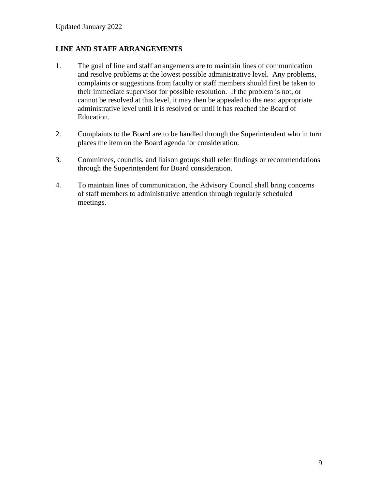### **LINE AND STAFF ARRANGEMENTS**

- 1. The goal of line and staff arrangements are to maintain lines of communication and resolve problems at the lowest possible administrative level. Any problems, complaints or suggestions from faculty or staff members should first be taken to their immediate supervisor for possible resolution. If the problem is not, or cannot be resolved at this level, it may then be appealed to the next appropriate administrative level until it is resolved or until it has reached the Board of Education.
- 2. Complaints to the Board are to be handled through the Superintendent who in turn places the item on the Board agenda for consideration.
- 3. Committees, councils, and liaison groups shall refer findings or recommendations through the Superintendent for Board consideration.
- 4. To maintain lines of communication, the Advisory Council shall bring concerns of staff members to administrative attention through regularly scheduled meetings.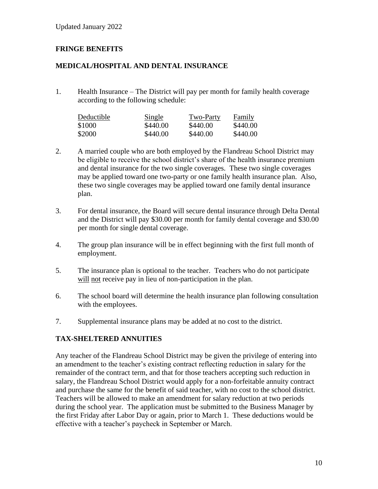## **FRINGE BENEFITS**

### **MEDICAL/HOSPITAL AND DENTAL INSURANCE**

1. Health Insurance – The District will pay per month for family health coverage according to the following schedule:

| Deductible | <b>Single</b> | Two-Party | Family   |
|------------|---------------|-----------|----------|
| \$1000     | \$440.00      | \$440.00  | \$440.00 |
| \$2000     | \$440.00      | \$440.00  | \$440.00 |

- 2. A married couple who are both employed by the Flandreau School District may be eligible to receive the school district's share of the health insurance premium and dental insurance for the two single coverages. These two single coverages may be applied toward one two-party or one family health insurance plan. Also, these two single coverages may be applied toward one family dental insurance plan.
- 3. For dental insurance, the Board will secure dental insurance through Delta Dental and the District will pay \$30.00 per month for family dental coverage and \$30.00 per month for single dental coverage.
- 4. The group plan insurance will be in effect beginning with the first full month of employment.
- 5. The insurance plan is optional to the teacher. Teachers who do not participate will not receive pay in lieu of non-participation in the plan.
- 6. The school board will determine the health insurance plan following consultation with the employees.
- 7. Supplemental insurance plans may be added at no cost to the district.

### **TAX-SHELTERED ANNUITIES**

Any teacher of the Flandreau School District may be given the privilege of entering into an amendment to the teacher's existing contract reflecting reduction in salary for the remainder of the contract term, and that for those teachers accepting such reduction in salary, the Flandreau School District would apply for a non-forfeitable annuity contract and purchase the same for the benefit of said teacher, with no cost to the school district. Teachers will be allowed to make an amendment for salary reduction at two periods during the school year. The application must be submitted to the Business Manager by the first Friday after Labor Day or again, prior to March 1. These deductions would be effective with a teacher's paycheck in September or March.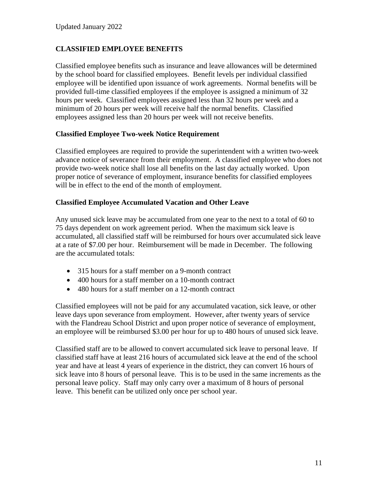## **CLASSIFIED EMPLOYEE BENEFITS**

Classified employee benefits such as insurance and leave allowances will be determined by the school board for classified employees. Benefit levels per individual classified employee will be identified upon issuance of work agreements. Normal benefits will be provided full-time classified employees if the employee is assigned a minimum of 32 hours per week. Classified employees assigned less than 32 hours per week and a minimum of 20 hours per week will receive half the normal benefits. Classified employees assigned less than 20 hours per week will not receive benefits.

#### **Classified Employee Two-week Notice Requirement**

Classified employees are required to provide the superintendent with a written two-week advance notice of severance from their employment. A classified employee who does not provide two-week notice shall lose all benefits on the last day actually worked. Upon proper notice of severance of employment, insurance benefits for classified employees will be in effect to the end of the month of employment.

#### **Classified Employee Accumulated Vacation and Other Leave**

Any unused sick leave may be accumulated from one year to the next to a total of 60 to 75 days dependent on work agreement period. When the maximum sick leave is accumulated, all classified staff will be reimbursed for hours over accumulated sick leave at a rate of \$7.00 per hour. Reimbursement will be made in December. The following are the accumulated totals:

- 315 hours for a staff member on a 9-month contract
- 400 hours for a staff member on a 10-month contract
- 480 hours for a staff member on a 12-month contract

Classified employees will not be paid for any accumulated vacation, sick leave, or other leave days upon severance from employment. However, after twenty years of service with the Flandreau School District and upon proper notice of severance of employment, an employee will be reimbursed \$3.00 per hour for up to 480 hours of unused sick leave.

Classified staff are to be allowed to convert accumulated sick leave to personal leave. If classified staff have at least 216 hours of accumulated sick leave at the end of the school year and have at least 4 years of experience in the district, they can convert 16 hours of sick leave into 8 hours of personal leave. This is to be used in the same increments as the personal leave policy. Staff may only carry over a maximum of 8 hours of personal leave. This benefit can be utilized only once per school year.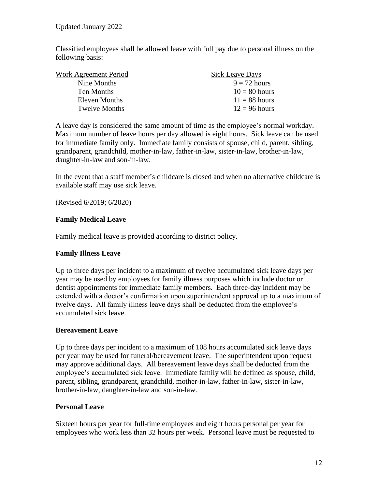Classified employees shall be allowed leave with full pay due to personal illness on the following basis:

| Work Agreement Period | <b>Sick Leave Days</b> |
|-----------------------|------------------------|
| Nine Months           | $9 = 72$ hours         |
| Ten Months            | $10 = 80$ hours        |
| Eleven Months         | $11 = 88$ hours        |
| <b>Twelve Months</b>  | $12 = 96$ hours        |

A leave day is considered the same amount of time as the employee's normal workday. Maximum number of leave hours per day allowed is eight hours. Sick leave can be used for immediate family only. Immediate family consists of spouse, child, parent, sibling, grandparent, grandchild, mother-in-law, father-in-law, sister-in-law, brother-in-law, daughter-in-law and son-in-law.

In the event that a staff member's childcare is closed and when no alternative childcare is available staff may use sick leave.

(Revised 6/2019; 6/2020)

## **Family Medical Leave**

Family medical leave is provided according to district policy.

## **Family Illness Leave**

Up to three days per incident to a maximum of twelve accumulated sick leave days per year may be used by employees for family illness purposes which include doctor or dentist appointments for immediate family members. Each three-day incident may be extended with a doctor's confirmation upon superintendent approval up to a maximum of twelve days. All family illness leave days shall be deducted from the employee's accumulated sick leave.

### **Bereavement Leave**

Up to three days per incident to a maximum of 108 hours accumulated sick leave days per year may be used for funeral/bereavement leave. The superintendent upon request may approve additional days. All bereavement leave days shall be deducted from the employee's accumulated sick leave. Immediate family will be defined as spouse, child, parent, sibling, grandparent, grandchild, mother-in-law, father-in-law, sister-in-law, brother-in-law, daughter-in-law and son-in-law.

### **Personal Leave**

Sixteen hours per year for full-time employees and eight hours personal per year for employees who work less than 32 hours per week. Personal leave must be requested to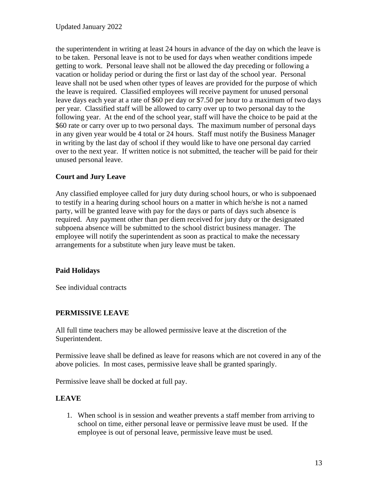the superintendent in writing at least 24 hours in advance of the day on which the leave is to be taken. Personal leave is not to be used for days when weather conditions impede getting to work. Personal leave shall not be allowed the day preceding or following a vacation or holiday period or during the first or last day of the school year. Personal leave shall not be used when other types of leaves are provided for the purpose of which the leave is required. Classified employees will receive payment for unused personal leave days each year at a rate of \$60 per day or \$7.50 per hour to a maximum of two days per year. Classified staff will be allowed to carry over up to two personal day to the following year. At the end of the school year, staff will have the choice to be paid at the \$60 rate or carry over up to two personal days. The maximum number of personal days in any given year would be 4 total or 24 hours. Staff must notify the Business Manager in writing by the last day of school if they would like to have one personal day carried over to the next year. If written notice is not submitted, the teacher will be paid for their unused personal leave.

## **Court and Jury Leave**

Any classified employee called for jury duty during school hours, or who is subpoenaed to testify in a hearing during school hours on a matter in which he/she is not a named party, will be granted leave with pay for the days or parts of days such absence is required. Any payment other than per diem received for jury duty or the designated subpoena absence will be submitted to the school district business manager. The employee will notify the superintendent as soon as practical to make the necessary arrangements for a substitute when jury leave must be taken.

### **Paid Holidays**

See individual contracts

## **PERMISSIVE LEAVE**

All full time teachers may be allowed permissive leave at the discretion of the Superintendent.

Permissive leave shall be defined as leave for reasons which are not covered in any of the above policies. In most cases, permissive leave shall be granted sparingly.

Permissive leave shall be docked at full pay.

### **LEAVE**

1. When school is in session and weather prevents a staff member from arriving to school on time, either personal leave or permissive leave must be used. If the employee is out of personal leave, permissive leave must be used.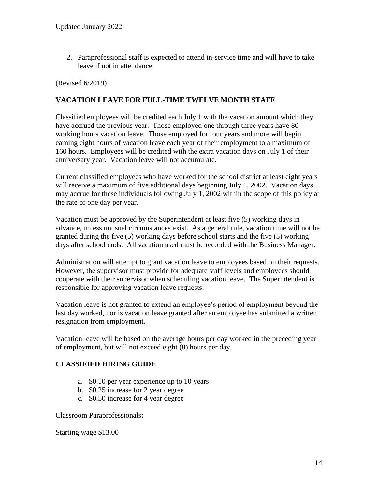2. Paraprofessional staff is expected to attend in-service time and will have to take leave if not in attendance.

(Revised 6/2019)

### **VACATION LEAVE FOR FULL-TIME TWELVE MONTH STAFF**

Classified employees will be credited each July 1 with the vacation amount which they have accrued the previous year. Those employed one through three years have 80 working hours vacation leave. Those employed for four years and more will begin earning eight hours of vacation leave each year of their employment to a maximum of 160 hours. Employees will be credited with the extra vacation days on July 1 of their anniversary year. Vacation leave will not accumulate.

Current classified employees who have worked for the school district at least eight years will receive a maximum of five additional days beginning July 1, 2002. Vacation days may accrue for these individuals following July 1, 2002 within the scope of this policy at the rate of one day per year.

Vacation must be approved by the Superintendent at least five (5) working days in advance, unless unusual circumstances exist. As a general rule, vacation time will not be granted during the five (5) working days before school starts and the five (5) working days after school ends. All vacation used must be recorded with the Business Manager.

Administration will attempt to grant vacation leave to employees based on their requests. However, the supervisor must provide for adequate staff levels and employees should cooperate with their supervisor when scheduling vacation leave. The Superintendent is responsible for approving vacation leave requests.

Vacation leave is not granted to extend an employee's period of employment beyond the last day worked, nor is vacation leave granted after an employee has submitted a written resignation from employment.

Vacation leave will be based on the average hours per day worked in the preceding year of employment, but will not exceed eight (8) hours per day.

### **CLASSIFIED HIRING GUIDE**

- a. \$0.10 per year experience up to 10 years
- b. \$0.25 increase for 2 year degree
- c. \$0.50 increase for 4 year degree

Classroom Paraprofessionals**:**

Starting wage \$13.00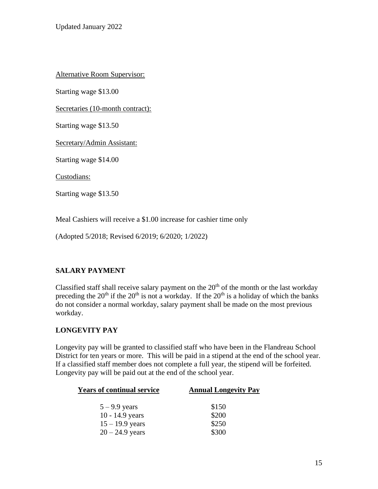Alternative Room Supervisor:

Starting wage \$13.00

Secretaries (10-month contract):

Starting wage \$13.50

Secretary/Admin Assistant:

Starting wage \$14.00

Custodians:

Starting wage \$13.50

Meal Cashiers will receive a \$1.00 increase for cashier time only

(Adopted 5/2018; Revised 6/2019; 6/2020; 1/2022)

### **SALARY PAYMENT**

Classified staff shall receive salary payment on the  $20<sup>th</sup>$  of the month or the last workday preceding the  $20<sup>th</sup>$  if the  $20<sup>th</sup>$  is not a workday. If the  $20<sup>th</sup>$  is a holiday of which the banks do not consider a normal workday, salary payment shall be made on the most previous workday.

### **LONGEVITY PAY**

Longevity pay will be granted to classified staff who have been in the Flandreau School District for ten years or more. This will be paid in a stipend at the end of the school year. If a classified staff member does not complete a full year, the stipend will be forfeited. Longevity pay will be paid out at the end of the school year.

| <b>Years of continual service</b> | <b>Annual Longevity Pay</b> |
|-----------------------------------|-----------------------------|
| $5 - 9.9$ years                   | \$150                       |
| $10 - 14.9$ years                 | \$200                       |
| $15 - 19.9$ years                 | \$250                       |
| $20 - 24.9$ years                 | \$300                       |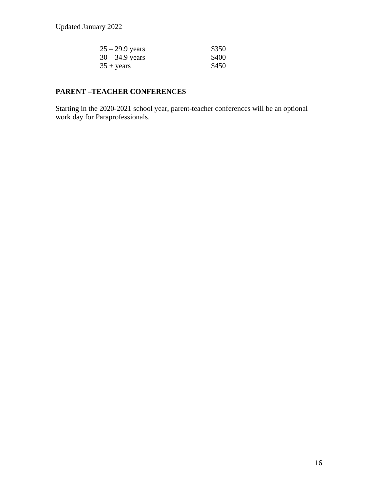Updated January 2022

| $25 - 29.9$ years   | \$350 |
|---------------------|-------|
| $30 - 34.9$ years   | \$400 |
| $35 + \text{years}$ | \$450 |

# **PARENT –TEACHER CONFERENCES**

Starting in the 2020-2021 school year, parent-teacher conferences will be an optional work day for Paraprofessionals.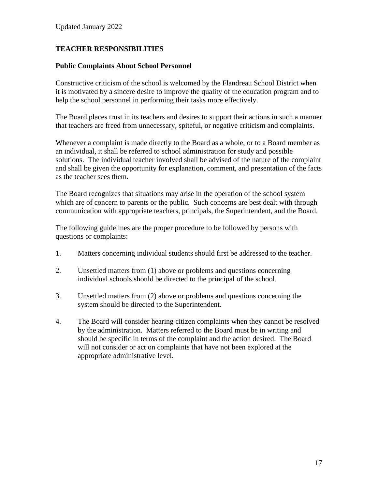## **TEACHER RESPONSIBILITIES**

#### **Public Complaints About School Personnel**

Constructive criticism of the school is welcomed by the Flandreau School District when it is motivated by a sincere desire to improve the quality of the education program and to help the school personnel in performing their tasks more effectively.

The Board places trust in its teachers and desires to support their actions in such a manner that teachers are freed from unnecessary, spiteful, or negative criticism and complaints.

Whenever a complaint is made directly to the Board as a whole, or to a Board member as an individual, it shall be referred to school administration for study and possible solutions. The individual teacher involved shall be advised of the nature of the complaint and shall be given the opportunity for explanation, comment, and presentation of the facts as the teacher sees them.

The Board recognizes that situations may arise in the operation of the school system which are of concern to parents or the public. Such concerns are best dealt with through communication with appropriate teachers, principals, the Superintendent, and the Board.

The following guidelines are the proper procedure to be followed by persons with questions or complaints:

- 1. Matters concerning individual students should first be addressed to the teacher.
- 2. Unsettled matters from (1) above or problems and questions concerning individual schools should be directed to the principal of the school.
- 3. Unsettled matters from (2) above or problems and questions concerning the system should be directed to the Superintendent.
- 4. The Board will consider hearing citizen complaints when they cannot be resolved by the administration. Matters referred to the Board must be in writing and should be specific in terms of the complaint and the action desired. The Board will not consider or act on complaints that have not been explored at the appropriate administrative level.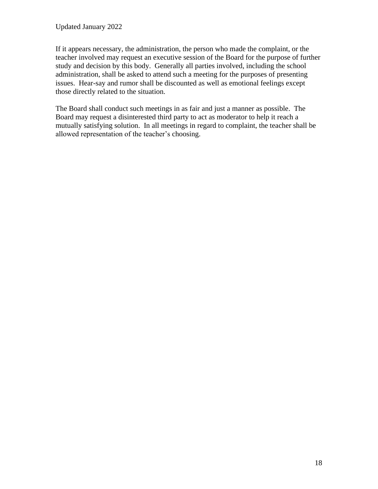If it appears necessary, the administration, the person who made the complaint, or the teacher involved may request an executive session of the Board for the purpose of further study and decision by this body. Generally all parties involved, including the school administration, shall be asked to attend such a meeting for the purposes of presenting issues. Hear-say and rumor shall be discounted as well as emotional feelings except those directly related to the situation.

The Board shall conduct such meetings in as fair and just a manner as possible. The Board may request a disinterested third party to act as moderator to help it reach a mutually satisfying solution. In all meetings in regard to complaint, the teacher shall be allowed representation of the teacher's choosing.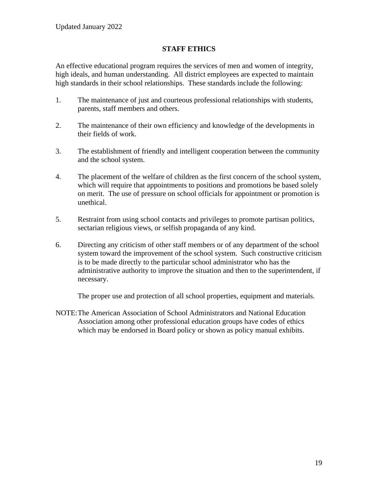### **STAFF ETHICS**

An effective educational program requires the services of men and women of integrity, high ideals, and human understanding. All district employees are expected to maintain high standards in their school relationships. These standards include the following:

- 1. The maintenance of just and courteous professional relationships with students, parents, staff members and others.
- 2. The maintenance of their own efficiency and knowledge of the developments in their fields of work.
- 3. The establishment of friendly and intelligent cooperation between the community and the school system.
- 4. The placement of the welfare of children as the first concern of the school system, which will require that appointments to positions and promotions be based solely on merit. The use of pressure on school officials for appointment or promotion is unethical.
- 5. Restraint from using school contacts and privileges to promote partisan politics, sectarian religious views, or selfish propaganda of any kind.
- 6. Directing any criticism of other staff members or of any department of the school system toward the improvement of the school system. Such constructive criticism is to be made directly to the particular school administrator who has the administrative authority to improve the situation and then to the superintendent, if necessary.

The proper use and protection of all school properties, equipment and materials.

NOTE:The American Association of School Administrators and National Education Association among other professional education groups have codes of ethics which may be endorsed in Board policy or shown as policy manual exhibits.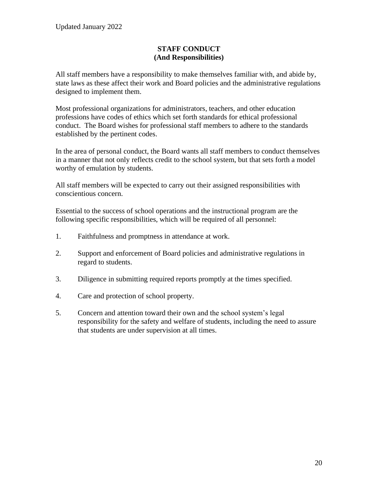### **STAFF CONDUCT (And Responsibilities)**

All staff members have a responsibility to make themselves familiar with, and abide by, state laws as these affect their work and Board policies and the administrative regulations designed to implement them.

Most professional organizations for administrators, teachers, and other education professions have codes of ethics which set forth standards for ethical professional conduct. The Board wishes for professional staff members to adhere to the standards established by the pertinent codes.

In the area of personal conduct, the Board wants all staff members to conduct themselves in a manner that not only reflects credit to the school system, but that sets forth a model worthy of emulation by students.

All staff members will be expected to carry out their assigned responsibilities with conscientious concern.

Essential to the success of school operations and the instructional program are the following specific responsibilities, which will be required of all personnel:

- 1. Faithfulness and promptness in attendance at work.
- 2. Support and enforcement of Board policies and administrative regulations in regard to students.
- 3. Diligence in submitting required reports promptly at the times specified.
- 4. Care and protection of school property.
- 5. Concern and attention toward their own and the school system's legal responsibility for the safety and welfare of students, including the need to assure that students are under supervision at all times.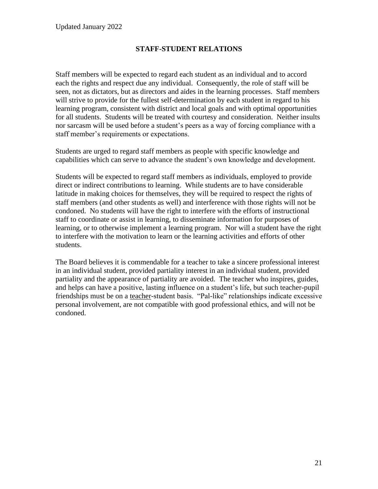### **STAFF-STUDENT RELATIONS**

Staff members will be expected to regard each student as an individual and to accord each the rights and respect due any individual. Consequently, the role of staff will be seen, not as dictators, but as directors and aides in the learning processes. Staff members will strive to provide for the fullest self-determination by each student in regard to his learning program, consistent with district and local goals and with optimal opportunities for all students. Students will be treated with courtesy and consideration. Neither insults nor sarcasm will be used before a student's peers as a way of forcing compliance with a staff member's requirements or expectations.

Students are urged to regard staff members as people with specific knowledge and capabilities which can serve to advance the student's own knowledge and development.

Students will be expected to regard staff members as individuals, employed to provide direct or indirect contributions to learning. While students are to have considerable latitude in making choices for themselves, they will be required to respect the rights of staff members (and other students as well) and interference with those rights will not be condoned. No students will have the right to interfere with the efforts of instructional staff to coordinate or assist in learning, to disseminate information for purposes of learning, or to otherwise implement a learning program. Nor will a student have the right to interfere with the motivation to learn or the learning activities and efforts of other students.

The Board believes it is commendable for a teacher to take a sincere professional interest in an individual student, provided partiality interest in an individual student, provided partiality and the appearance of partiality are avoided. The teacher who inspires, guides, and helps can have a positive, lasting influence on a student's life, but such teacher-pupil friendships must be on a teacher-student basis. "Pal-like" relationships indicate excessive personal involvement, are not compatible with good professional ethics, and will not be condoned.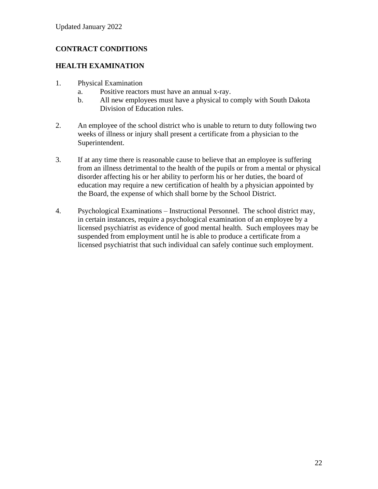# **CONTRACT CONDITIONS**

### **HEALTH EXAMINATION**

- 1. Physical Examination
	- a. Positive reactors must have an annual x-ray.
	- b. All new employees must have a physical to comply with South Dakota Division of Education rules.
- 2. An employee of the school district who is unable to return to duty following two weeks of illness or injury shall present a certificate from a physician to the Superintendent.
- 3. If at any time there is reasonable cause to believe that an employee is suffering from an illness detrimental to the health of the pupils or from a mental or physical disorder affecting his or her ability to perform his or her duties, the board of education may require a new certification of health by a physician appointed by the Board, the expense of which shall borne by the School District.
- 4. Psychological Examinations Instructional Personnel. The school district may, in certain instances, require a psychological examination of an employee by a licensed psychiatrist as evidence of good mental health. Such employees may be suspended from employment until he is able to produce a certificate from a licensed psychiatrist that such individual can safely continue such employment.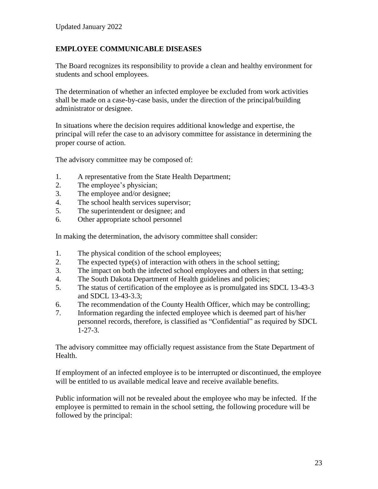### **EMPLOYEE COMMUNICABLE DISEASES**

The Board recognizes its responsibility to provide a clean and healthy environment for students and school employees.

The determination of whether an infected employee be excluded from work activities shall be made on a case-by-case basis, under the direction of the principal/building administrator or designee.

In situations where the decision requires additional knowledge and expertise, the principal will refer the case to an advisory committee for assistance in determining the proper course of action.

The advisory committee may be composed of:

- 1. A representative from the State Health Department;
- 2. The employee's physician;
- 3. The employee and/or designee;
- 4. The school health services supervisor;
- 5. The superintendent or designee; and
- 6. Other appropriate school personnel

In making the determination, the advisory committee shall consider:

- 1. The physical condition of the school employees;
- 2. The expected type(s) of interaction with others in the school setting;
- 3. The impact on both the infected school employees and others in that setting;
- 4. The South Dakota Department of Health guidelines and policies;
- 5. The status of certification of the employee as is promulgated ins SDCL 13-43-3 and SDCL 13-43-3.3;
- 6. The recommendation of the County Health Officer, which may be controlling;
- 7. Information regarding the infected employee which is deemed part of his/her personnel records, therefore, is classified as "Confidential" as required by SDCL 1-27-3.

The advisory committee may officially request assistance from the State Department of Health.

If employment of an infected employee is to be interrupted or discontinued, the employee will be entitled to us available medical leave and receive available benefits.

Public information will not be revealed about the employee who may be infected. If the employee is permitted to remain in the school setting, the following procedure will be followed by the principal: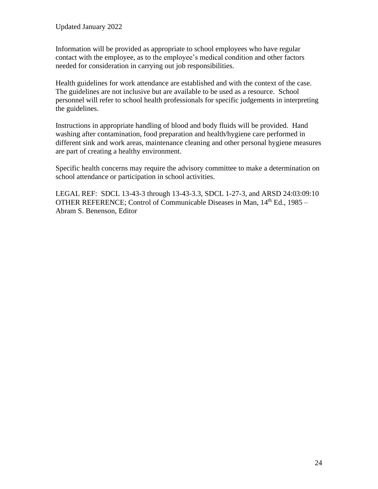Information will be provided as appropriate to school employees who have regular contact with the employee, as to the employee's medical condition and other factors needed for consideration in carrying out job responsibilities.

Health guidelines for work attendance are established and with the context of the case. The guidelines are not inclusive but are available to be used as a resource. School personnel will refer to school health professionals for specific judgements in interpreting the guidelines.

Instructions in appropriate handling of blood and body fluids will be provided. Hand washing after contamination, food preparation and health/hygiene care performed in different sink and work areas, maintenance cleaning and other personal hygiene measures are part of creating a healthy environment.

Specific health concerns may require the advisory committee to make a determination on school attendance or participation in school activities.

LEGAL REF: SDCL 13-43-3 through 13-43-3.3, SDCL 1-27-3, and ARSD 24:03:09:10 OTHER REFERENCE; Control of Communicable Diseases in Man, 14th Ed., 1985 – Abram S. Benenson, Editor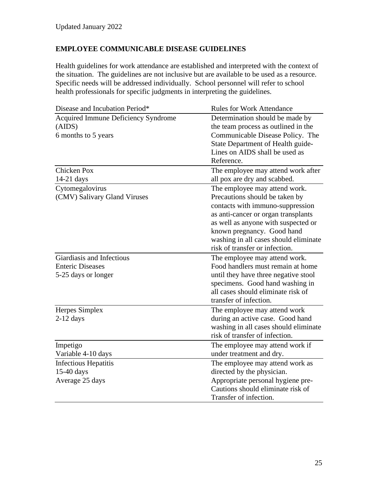# **EMPLOYEE COMMUNICABLE DISEASE GUIDELINES**

Health guidelines for work attendance are established and interpreted with the context of the situation. The guidelines are not inclusive but are available to be used as a resource. Specific needs will be addressed individually. School personnel will refer to school health professionals for specific judgments in interpreting the guidelines.

| Disease and Incubation Period*      | <b>Rules for Work Attendance</b>      |
|-------------------------------------|---------------------------------------|
| Acquired Immune Deficiency Syndrome | Determination should be made by       |
| (AIDS)                              | the team process as outlined in the   |
| 6 months to 5 years                 | Communicable Disease Policy. The      |
|                                     | State Department of Health guide-     |
|                                     | Lines on AIDS shall be used as        |
|                                     | Reference.                            |
| <b>Chicken Pox</b>                  | The employee may attend work after    |
| $14-21$ days                        | all pox are dry and scabbed.          |
| Cytomegalovirus                     | The employee may attend work.         |
| (CMV) Salivary Gland Viruses        | Precautions should be taken by        |
|                                     | contacts with immuno-suppression      |
|                                     | as anti-cancer or organ transplants   |
|                                     | as well as anyone with suspected or   |
|                                     | known pregnancy. Good hand            |
|                                     | washing in all cases should eliminate |
|                                     | risk of transfer or infection.        |
| Giardiasis and Infectious           | The employee may attend work.         |
| <b>Enteric Diseases</b>             | Food handlers must remain at home     |
| 5-25 days or longer                 | until they have three negative stool  |
|                                     | specimens. Good hand washing in       |
|                                     | all cases should eliminate risk of    |
|                                     | transfer of infection.                |
| Herpes Simplex                      | The employee may attend work          |
| $2-12$ days                         | during an active case. Good hand      |
|                                     | washing in all cases should eliminate |
|                                     | risk of transfer of infection.        |
| Impetigo                            | The employee may attend work if       |
| Variable 4-10 days                  | under treatment and dry.              |
| <b>Infectious Hepatitis</b>         | The employee may attend work as       |
| 15-40 days                          | directed by the physician.            |
| Average 25 days                     | Appropriate personal hygiene pre-     |
|                                     | Cautions should eliminate risk of     |
|                                     | Transfer of infection.                |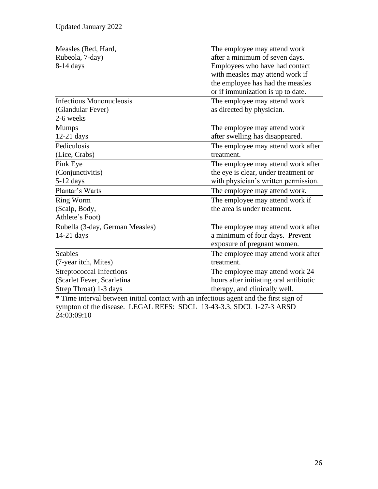| Measles (Red, Hard,<br>Rubeola, 7-day)<br>8-14 days                                                                                                                                                                  | The employee may attend work<br>after a minimum of seven days.<br>Employees who have had contact<br>with measles may attend work if<br>the employee has had the measles<br>or if immunization is up to date.                     |
|----------------------------------------------------------------------------------------------------------------------------------------------------------------------------------------------------------------------|----------------------------------------------------------------------------------------------------------------------------------------------------------------------------------------------------------------------------------|
| <b>Infectious Mononucleosis</b><br>(Glandular Fever)<br>2-6 weeks                                                                                                                                                    | The employee may attend work<br>as directed by physician.                                                                                                                                                                        |
| <b>Mumps</b><br>$12-21$ days                                                                                                                                                                                         | The employee may attend work<br>after swelling has disappeared.                                                                                                                                                                  |
| Pediculosis<br>(Lice, Crabs)                                                                                                                                                                                         | The employee may attend work after<br>treatment.                                                                                                                                                                                 |
| Pink Eye<br>(Conjunctivitis)<br>$5-12$ days                                                                                                                                                                          | The employee may attend work after<br>the eye is clear, under treatment or<br>with physician's written permission.                                                                                                               |
| Plantar's Warts                                                                                                                                                                                                      | The employee may attend work.                                                                                                                                                                                                    |
| <b>Ring Worm</b><br>(Scalp, Body,<br>Athlete's Foot)                                                                                                                                                                 | The employee may attend work if<br>the area is under treatment.                                                                                                                                                                  |
| Rubella (3-day, German Measles)<br>$14-21$ days                                                                                                                                                                      | The employee may attend work after<br>a minimum of four days. Prevent<br>exposure of pregnant women.                                                                                                                             |
| <b>Scabies</b>                                                                                                                                                                                                       | The employee may attend work after                                                                                                                                                                                               |
| (7-year itch, Mites)                                                                                                                                                                                                 | treatment.                                                                                                                                                                                                                       |
| <b>Streptococcal Infections</b><br>(Scarlet Fever, Scarletina<br>Strep Throat) 1-3 days<br>$\cdots$<br>$\mathbf{r}$ and $\mathbf{r}$ and $\mathbf{r}$ and $\mathbf{r}$ and $\mathbf{r}$<br>$\ddotsc$<br>$\mathbf{r}$ | The employee may attend work 24<br>hours after initiating oral antibiotic<br>therapy, and clinically well.<br>$\mathbf{r}$ and $\mathbf{r}$ and $\mathbf{r}$ and $\mathbf{r}$ and $\mathbf{r}$ and $\mathbf{r}$ and $\mathbf{r}$ |

\* Time interval between initial contact with an infectious agent and the first sign of sympton of the disease. LEGAL REFS: SDCL 13-43-3.3, SDCL 1-27-3 ARSD 24:03:09:10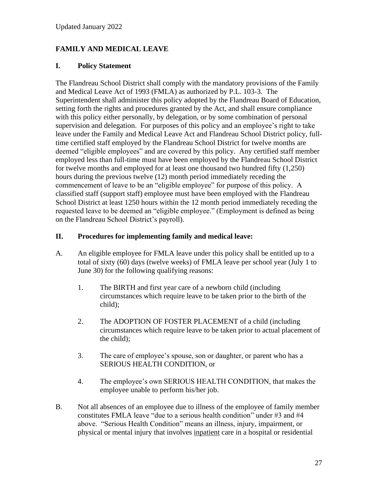## **FAMILY AND MEDICAL LEAVE**

#### **I. Policy Statement**

The Flandreau School District shall comply with the mandatory provisions of the Family and Medical Leave Act of 1993 (FMLA) as authorized by P.L. 103-3. The Superintendent shall administer this policy adopted by the Flandreau Board of Education, setting forth the rights and procedures granted by the Act, and shall ensure compliance with this policy either personally, by delegation, or by some combination of personal supervision and delegation. For purposes of this policy and an employee's right to take leave under the Family and Medical Leave Act and Flandreau School District policy, fulltime certified staff employed by the Flandreau School District for twelve months are deemed "eligible employees" and are covered by this policy. Any certified staff member employed less than full-time must have been employed by the Flandreau School District for twelve months and employed for at least one thousand two hundred fifty (1,250) hours during the previous twelve (12) month period immediately receding the commencement of leave to be an "eligible employee" for purpose of this policy. A classified staff (support staff) employee must have been employed with the Flandreau School District at least 1250 hours within the 12 month period immediately receding the requested leave to be deemed an "eligible employee." (Employment is defined as being on the Flandreau School District's payroll).

#### **II. Procedures for implementing family and medical leave:**

- A. An eligible employee for FMLA leave under this policy shall be entitled up to a total of sixty (60) days (twelve weeks) of FMLA leave per school year (July 1 to June 30) for the following qualifying reasons:
	- 1. The BIRTH and first year care of a newborn child (including circumstances which require leave to be taken prior to the birth of the child);
	- 2. The ADOPTION OF FOSTER PLACEMENT of a child (including circumstances which require leave to be taken prior to actual placement of the child);
	- 3. The care of employee's spouse, son or daughter, or parent who has a SERIOUS HEALTH CONDITION, or
	- 4. The employee's own SERIOUS HEALTH CONDITION, that makes the employee unable to perform his/her job.
- B. Not all absences of an employee due to illness of the employee of family member constitutes FMLA leave "due to a serious health condition" under #3 and #4 above. "Serious Health Condition" means an illness, injury, impairment, or physical or mental injury that involves inpatient care in a hospital or residential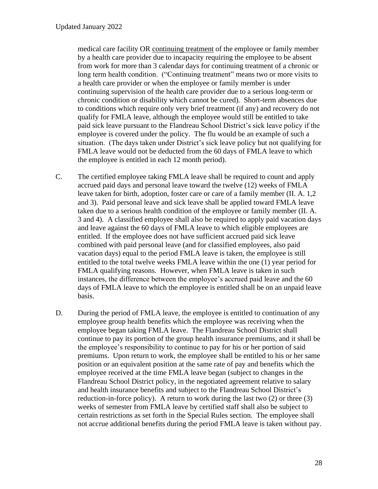medical care facility OR continuing treatment of the employee or family member by a health care provider due to incapacity requiring the employee to be absent from work for more than 3 calendar days for continuing treatment of a chronic or long term health condition. ("Continuing treatment" means two or more visits to a health care provider or when the employee or family member is under continuing supervision of the health care provider due to a serious long-term or chronic condition or disability which cannot be cured). Short-term absences due to conditions which require only very brief treatment (if any) and recovery do not qualify for FMLA leave, although the employee would still be entitled to take paid sick leave pursuant to the Flandreau School District's sick leave policy if the employee is covered under the policy. The flu would be an example of such a situation. (The days taken under District's sick leave policy but not qualifying for FMLA leave would not be deducted from the 60 days of FMLA leave to which the employee is entitled in each 12 month period).

- C. The certified employee taking FMLA leave shall be required to count and apply accrued paid days and personal leave toward the twelve (12) weeks of FMLA leave taken for birth, adoption, foster care or care of a family member (II. A. 1,2 and 3). Paid personal leave and sick leave shall be applied toward FMLA leave taken due to a serious health condition of the employee or family member (II. A. 3 and 4). A classified employee shall also be required to apply paid vacation days and leave against the 60 days of FMLA leave to which eligible employees are entitled. If the employee does not have sufficient accrued paid sick leave combined with paid personal leave (and for classified employees, also paid vacation days) equal to the period FMLA leave is taken, the employee is still entitled to the total twelve weeks FMLA leave within the one (1) year period for FMLA qualifying reasons. However, when FMLA leave is taken in such instances, the difference between the employee's accrued paid leave and the 60 days of FMLA leave to which the employee is entitled shall be on an unpaid leave basis.
- D. During the period of FMLA leave, the employee is entitled to continuation of any employee group health benefits which the employee was receiving when the employee began taking FMLA leave. The Flandreau School District shall continue to pay its portion of the group health insurance premiums, and it shall be the employee's responsibility to continue to pay for his or her portion of said premiums. Upon return to work, the employee shall be entitled to his or her same position or an equivalent position at the same rate of pay and benefits which the employee received at the time FMLA leave began (subject to changes in the Flandreau School District policy, in the negotiated agreement relative to salary and health insurance benefits and subject to the Flandreau School District's reduction-in-force policy). A return to work during the last two (2) or three (3) weeks of semester from FMLA leave by certified staff shall also be subject to certain restrictions as set forth in the Special Rules section. The employee shall not accrue additional benefits during the period FMLA leave is taken without pay.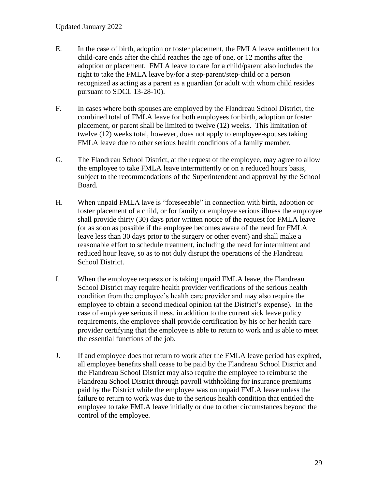- E. In the case of birth, adoption or foster placement, the FMLA leave entitlement for child-care ends after the child reaches the age of one, or 12 months after the adoption or placement. FMLA leave to care for a child/parent also includes the right to take the FMLA leave by/for a step-parent/step-child or a person recognized as acting as a parent as a guardian (or adult with whom child resides pursuant to SDCL 13-28-10).
- F. In cases where both spouses are employed by the Flandreau School District, the combined total of FMLA leave for both employees for birth, adoption or foster placement, or parent shall be limited to twelve (12) weeks. This limitation of twelve (12) weeks total, however, does not apply to employee-spouses taking FMLA leave due to other serious health conditions of a family member.
- G. The Flandreau School District, at the request of the employee, may agree to allow the employee to take FMLA leave intermittently or on a reduced hours basis, subject to the recommendations of the Superintendent and approval by the School Board.
- H. When unpaid FMLA lave is "foreseeable" in connection with birth, adoption or foster placement of a child, or for family or employee serious illness the employee shall provide thirty (30) days prior written notice of the request for FMLA leave (or as soon as possible if the employee becomes aware of the need for FMLA leave less than 30 days prior to the surgery or other event) and shall make a reasonable effort to schedule treatment, including the need for intermittent and reduced hour leave, so as to not duly disrupt the operations of the Flandreau School District.
- I. When the employee requests or is taking unpaid FMLA leave, the Flandreau School District may require health provider verifications of the serious health condition from the employee's health care provider and may also require the employee to obtain a second medical opinion (at the District's expense). In the case of employee serious illness, in addition to the current sick leave policy requirements, the employee shall provide certification by his or her health care provider certifying that the employee is able to return to work and is able to meet the essential functions of the job.
- J. If and employee does not return to work after the FMLA leave period has expired, all employee benefits shall cease to be paid by the Flandreau School District and the Flandreau School District may also require the employee to reimburse the Flandreau School District through payroll withholding for insurance premiums paid by the District while the employee was on unpaid FMLA leave unless the failure to return to work was due to the serious health condition that entitled the employee to take FMLA leave initially or due to other circumstances beyond the control of the employee.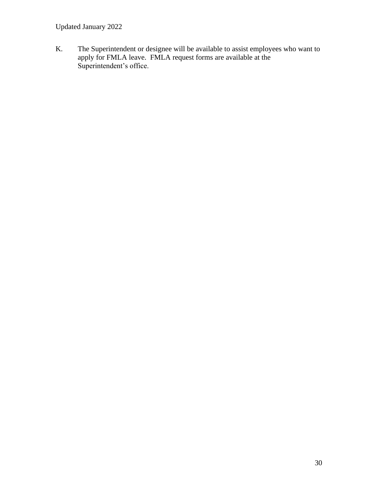Updated January 2022

K. The Superintendent or designee will be available to assist employees who want to apply for FMLA leave. FMLA request forms are available at the Superintendent's office.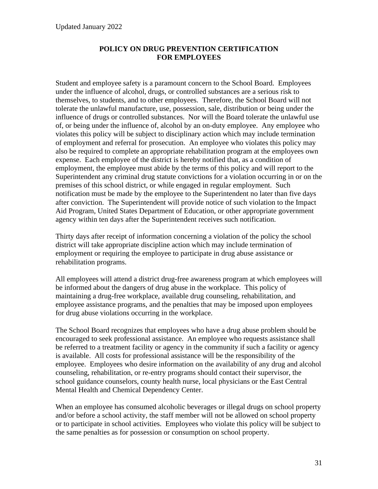### **POLICY ON DRUG PREVENTION CERTIFICATION FOR EMPLOYEES**

Student and employee safety is a paramount concern to the School Board. Employees under the influence of alcohol, drugs, or controlled substances are a serious risk to themselves, to students, and to other employees. Therefore, the School Board will not tolerate the unlawful manufacture, use, possession, sale, distribution or being under the influence of drugs or controlled substances. Nor will the Board tolerate the unlawful use of, or being under the influence of, alcohol by an on-duty employee. Any employee who violates this policy will be subject to disciplinary action which may include termination of employment and referral for prosecution. An employee who violates this policy may also be required to complete an appropriate rehabilitation program at the employees own expense. Each employee of the district is hereby notified that, as a condition of employment, the employee must abide by the terms of this policy and will report to the Superintendent any criminal drug statute convictions for a violation occurring in or on the premises of this school district, or while engaged in regular employment. Such notification must be made by the employee to the Superintendent no later than five days after conviction. The Superintendent will provide notice of such violation to the Impact Aid Program, United States Department of Education, or other appropriate government agency within ten days after the Superintendent receives such notification.

Thirty days after receipt of information concerning a violation of the policy the school district will take appropriate discipline action which may include termination of employment or requiring the employee to participate in drug abuse assistance or rehabilitation programs.

All employees will attend a district drug-free awareness program at which employees will be informed about the dangers of drug abuse in the workplace. This policy of maintaining a drug-free workplace, available drug counseling, rehabilitation, and employee assistance programs, and the penalties that may be imposed upon employees for drug abuse violations occurring in the workplace.

The School Board recognizes that employees who have a drug abuse problem should be encouraged to seek professional assistance. An employee who requests assistance shall be referred to a treatment facility or agency in the community if such a facility or agency is available. All costs for professional assistance will be the responsibility of the employee. Employees who desire information on the availability of any drug and alcohol counseling, rehabilitation, or re-entry programs should contact their supervisor, the school guidance counselors, county health nurse, local physicians or the East Central Mental Health and Chemical Dependency Center.

When an employee has consumed alcoholic beverages or illegal drugs on school property and/or before a school activity, the staff member will not be allowed on school property or to participate in school activities. Employees who violate this policy will be subject to the same penalties as for possession or consumption on school property.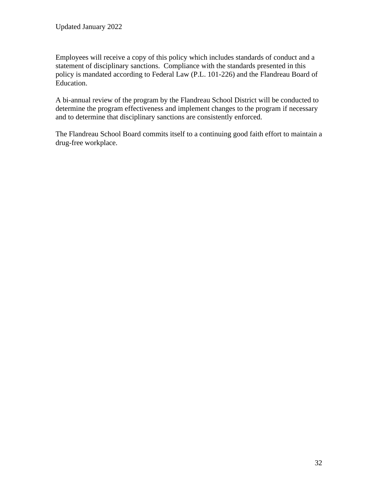Employees will receive a copy of this policy which includes standards of conduct and a statement of disciplinary sanctions. Compliance with the standards presented in this policy is mandated according to Federal Law (P.L. 101-226) and the Flandreau Board of Education.

A bi-annual review of the program by the Flandreau School District will be conducted to determine the program effectiveness and implement changes to the program if necessary and to determine that disciplinary sanctions are consistently enforced.

The Flandreau School Board commits itself to a continuing good faith effort to maintain a drug-free workplace.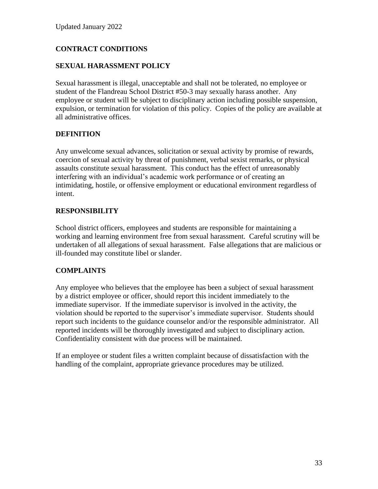# **CONTRACT CONDITIONS**

### **SEXUAL HARASSMENT POLICY**

Sexual harassment is illegal, unacceptable and shall not be tolerated, no employee or student of the Flandreau School District #50-3 may sexually harass another. Any employee or student will be subject to disciplinary action including possible suspension, expulsion, or termination for violation of this policy. Copies of the policy are available at all administrative offices.

### **DEFINITION**

Any unwelcome sexual advances, solicitation or sexual activity by promise of rewards, coercion of sexual activity by threat of punishment, verbal sexist remarks, or physical assaults constitute sexual harassment. This conduct has the effect of unreasonably interfering with an individual's academic work performance or of creating an intimidating, hostile, or offensive employment or educational environment regardless of intent.

### **RESPONSIBILITY**

School district officers, employees and students are responsible for maintaining a working and learning environment free from sexual harassment. Careful scrutiny will be undertaken of all allegations of sexual harassment. False allegations that are malicious or ill-founded may constitute libel or slander.

### **COMPLAINTS**

Any employee who believes that the employee has been a subject of sexual harassment by a district employee or officer, should report this incident immediately to the immediate supervisor. If the immediate supervisor is involved in the activity, the violation should be reported to the supervisor's immediate supervisor. Students should report such incidents to the guidance counselor and/or the responsible administrator. All reported incidents will be thoroughly investigated and subject to disciplinary action. Confidentiality consistent with due process will be maintained.

If an employee or student files a written complaint because of dissatisfaction with the handling of the complaint, appropriate grievance procedures may be utilized.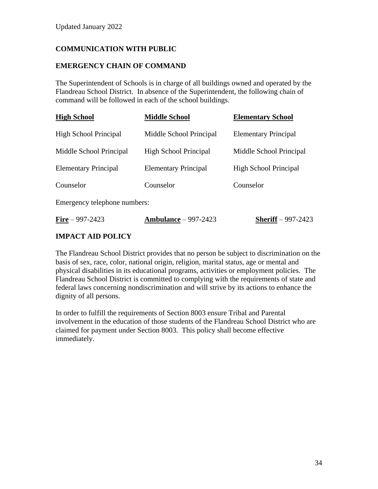# **COMMUNICATION WITH PUBLIC**

### **EMERGENCY CHAIN OF COMMAND**

The Superintendent of Schools is in charge of all buildings owned and operated by the Flandreau School District. In absence of the Superintendent, the following chain of command will be followed in each of the school buildings.

| <b>High School</b>           | <b>Middle School</b>         | <b>Elementary School</b>     |
|------------------------------|------------------------------|------------------------------|
| <b>High School Principal</b> | Middle School Principal      | <b>Elementary Principal</b>  |
| Middle School Principal      | <b>High School Principal</b> | Middle School Principal      |
| <b>Elementary Principal</b>  | <b>Elementary Principal</b>  | <b>High School Principal</b> |
| Counselor                    | Counselor                    | Counselor                    |
|                              |                              |                              |

Emergency telephone numbers:

| <b>Fire</b> $-997-2423$ | Ambulance $-997-2423$ | <b>Sheriff</b> – 997-2423 |
|-------------------------|-----------------------|---------------------------|
|-------------------------|-----------------------|---------------------------|

## **IMPACT AID POLICY**

The Flandreau School District provides that no person be subject to discrimination on the basis of sex, race, color, national origin, religion, marital status, age or mental and physical disabilities in its educational programs, activities or employment policies. The Flandreau School District is committed to complying with the requirements of state and federal laws concerning nondiscrimination and will strive by its actions to enhance the dignity of all persons.

In order to fulfill the requirements of Section 8003 ensure Tribal and Parental involvement in the education of those students of the Flandreau School District who are claimed for payment under Section 8003. This policy shall become effective immediately.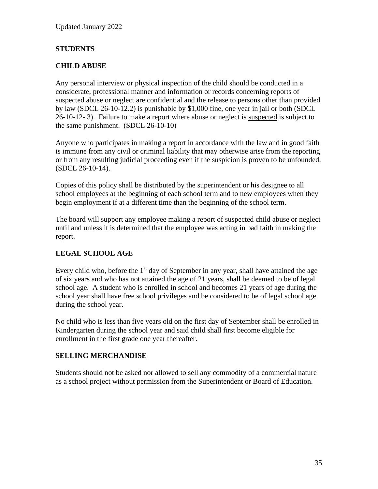## **STUDENTS**

## **CHILD ABUSE**

Any personal interview or physical inspection of the child should be conducted in a considerate, professional manner and information or records concerning reports of suspected abuse or neglect are confidential and the release to persons other than provided by law (SDCL 26-10-12.2) is punishable by \$1,000 fine, one year in jail or both (SDCL 26-10-12-.3). Failure to make a report where abuse or neglect is suspected is subject to the same punishment. (SDCL 26-10-10)

Anyone who participates in making a report in accordance with the law and in good faith is immune from any civil or criminal liability that may otherwise arise from the reporting or from any resulting judicial proceeding even if the suspicion is proven to be unfounded. (SDCL 26-10-14).

Copies of this policy shall be distributed by the superintendent or his designee to all school employees at the beginning of each school term and to new employees when they begin employment if at a different time than the beginning of the school term.

The board will support any employee making a report of suspected child abuse or neglect until and unless it is determined that the employee was acting in bad faith in making the report.

## **LEGAL SCHOOL AGE**

Every child who, before the  $1<sup>st</sup>$  day of September in any year, shall have attained the age of six years and who has not attained the age of 21 years, shall be deemed to be of legal school age. A student who is enrolled in school and becomes 21 years of age during the school year shall have free school privileges and be considered to be of legal school age during the school year.

No child who is less than five years old on the first day of September shall be enrolled in Kindergarten during the school year and said child shall first become eligible for enrollment in the first grade one year thereafter.

### **SELLING MERCHANDISE**

Students should not be asked nor allowed to sell any commodity of a commercial nature as a school project without permission from the Superintendent or Board of Education.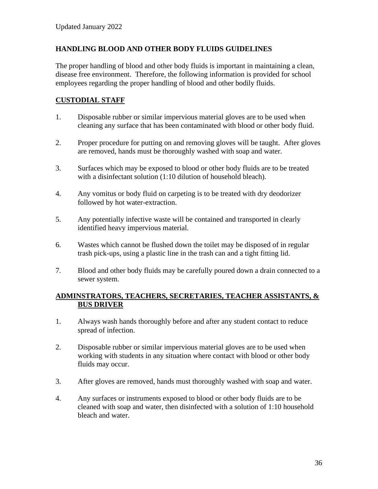### **HANDLING BLOOD AND OTHER BODY FLUIDS GUIDELINES**

The proper handling of blood and other body fluids is important in maintaining a clean, disease free environment. Therefore, the following information is provided for school employees regarding the proper handling of blood and other bodily fluids.

### **CUSTODIAL STAFF**

- 1. Disposable rubber or similar impervious material gloves are to be used when cleaning any surface that has been contaminated with blood or other body fluid.
- 2. Proper procedure for putting on and removing gloves will be taught. After gloves are removed, hands must be thoroughly washed with soap and water.
- 3. Surfaces which may be exposed to blood or other body fluids are to be treated with a disinfectant solution (1:10 dilution of household bleach).
- 4. Any vomitus or body fluid on carpeting is to be treated with dry deodorizer followed by hot water-extraction.
- 5. Any potentially infective waste will be contained and transported in clearly identified heavy impervious material.
- 6. Wastes which cannot be flushed down the toilet may be disposed of in regular trash pick-ups, using a plastic line in the trash can and a tight fitting lid.
- 7. Blood and other body fluids may be carefully poured down a drain connected to a sewer system.

### **ADMINSTRATORS, TEACHERS, SECRETARIES, TEACHER ASSISTANTS, & BUS DRIVER**

- 1. Always wash hands thoroughly before and after any student contact to reduce spread of infection.
- 2. Disposable rubber or similar impervious material gloves are to be used when working with students in any situation where contact with blood or other body fluids may occur.
- 3. After gloves are removed, hands must thoroughly washed with soap and water.
- 4. Any surfaces or instruments exposed to blood or other body fluids are to be cleaned with soap and water, then disinfected with a solution of 1:10 household bleach and water.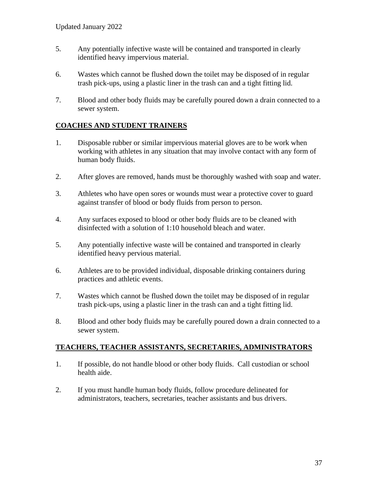- 5. Any potentially infective waste will be contained and transported in clearly identified heavy impervious material.
- 6. Wastes which cannot be flushed down the toilet may be disposed of in regular trash pick-ups, using a plastic liner in the trash can and a tight fitting lid.
- 7. Blood and other body fluids may be carefully poured down a drain connected to a sewer system.

### **COACHES AND STUDENT TRAINERS**

- 1. Disposable rubber or similar impervious material gloves are to be work when working with athletes in any situation that may involve contact with any form of human body fluids.
- 2. After gloves are removed, hands must be thoroughly washed with soap and water.
- 3. Athletes who have open sores or wounds must wear a protective cover to guard against transfer of blood or body fluids from person to person.
- 4. Any surfaces exposed to blood or other body fluids are to be cleaned with disinfected with a solution of 1:10 household bleach and water.
- 5. Any potentially infective waste will be contained and transported in clearly identified heavy pervious material.
- 6. Athletes are to be provided individual, disposable drinking containers during practices and athletic events.
- 7. Wastes which cannot be flushed down the toilet may be disposed of in regular trash pick-ups, using a plastic liner in the trash can and a tight fitting lid.
- 8. Blood and other body fluids may be carefully poured down a drain connected to a sewer system.

### **TEACHERS, TEACHER ASSISTANTS, SECRETARIES, ADMINISTRATORS**

- 1. If possible, do not handle blood or other body fluids. Call custodian or school health aide.
- 2. If you must handle human body fluids, follow procedure delineated for administrators, teachers, secretaries, teacher assistants and bus drivers.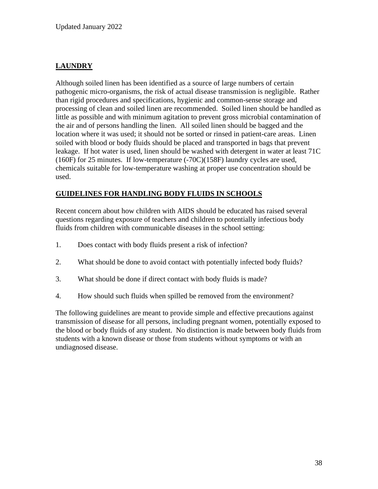# **LAUNDRY**

Although soiled linen has been identified as a source of large numbers of certain pathogenic micro-organisms, the risk of actual disease transmission is negligible. Rather than rigid procedures and specifications, hygienic and common-sense storage and processing of clean and soiled linen are recommended. Soiled linen should be handled as little as possible and with minimum agitation to prevent gross microbial contamination of the air and of persons handling the linen. All soiled linen should be bagged and the location where it was used; it should not be sorted or rinsed in patient-care areas. Linen soiled with blood or body fluids should be placed and transported in bags that prevent leakage. If hot water is used, linen should be washed with detergent in water at least 71C (160F) for 25 minutes. If low-temperature (-70C)(158F) laundry cycles are used, chemicals suitable for low-temperature washing at proper use concentration should be used.

### **GUIDELINES FOR HANDLING BODY FLUIDS IN SCHOOLS**

Recent concern about how children with AIDS should be educated has raised several questions regarding exposure of teachers and children to potentially infectious body fluids from children with communicable diseases in the school setting:

- 1. Does contact with body fluids present a risk of infection?
- 2. What should be done to avoid contact with potentially infected body fluids?
- 3. What should be done if direct contact with body fluids is made?
- 4. How should such fluids when spilled be removed from the environment?

The following guidelines are meant to provide simple and effective precautions against transmission of disease for all persons, including pregnant women, potentially exposed to the blood or body fluids of any student. No distinction is made between body fluids from students with a known disease or those from students without symptoms or with an undiagnosed disease.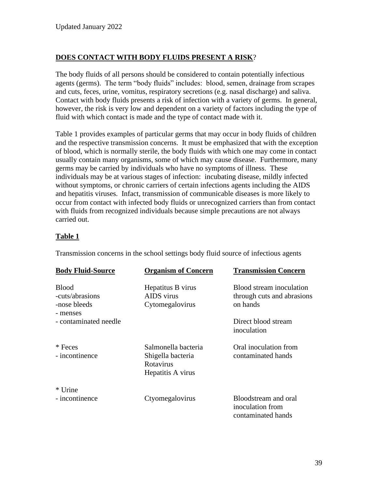# **DOES CONTACT WITH BODY FLUIDS PRESENT A RISK**?

The body fluids of all persons should be considered to contain potentially infectious agents (germs). The term "body fluids" includes: blood, semen, drainage from scrapes and cuts, feces, urine, vomitus, respiratory secretions (e.g. nasal discharge) and saliva. Contact with body fluids presents a risk of infection with a variety of germs. In general, however, the risk is very low and dependent on a variety of factors including the type of fluid with which contact is made and the type of contact made with it.

Table 1 provides examples of particular germs that may occur in body fluids of children and the respective transmission concerns. It must be emphasized that with the exception of blood, which is normally sterile, the body fluids with which one may come in contact usually contain many organisms, some of which may cause disease. Furthermore, many germs may be carried by individuals who have no symptoms of illness. These individuals may be at various stages of infection: incubating disease, mildly infected without symptoms, or chronic carriers of certain infections agents including the AIDS and hepatitis viruses. Infact, transmission of communicable diseases is more likely to occur from contact with infected body fluids or unrecognized carriers than from contact with fluids from recognized individuals because simple precautions are not always carried out.

### **Table 1**

Transmission concerns in the school settings body fluid source of infectious agents

| <b>Body Fluid-Source</b>                                    | <b>Organism of Concern</b>                                                 | <b>Transmission Concern</b>                                        |
|-------------------------------------------------------------|----------------------------------------------------------------------------|--------------------------------------------------------------------|
| <b>Blood</b><br>-cuts/abrasions<br>-nose bleeds<br>- menses | Hepatitus B virus<br>AIDS virus<br>Cytomegalovirus                         | Blood stream inoculation<br>through cuts and abrasions<br>on hands |
| - contaminated needle                                       |                                                                            | Direct blood stream<br>inoculation                                 |
| * Feces<br>- incontinence                                   | Salmonella bacteria<br>Shigella bacteria<br>Rotavirus<br>Hepatitis A virus | Oral inoculation from<br>contaminated hands                        |
| * Urine<br>- incontinence                                   | Ctyomegalovirus                                                            | Bloodstream and oral<br>inoculation from<br>contaminated hands     |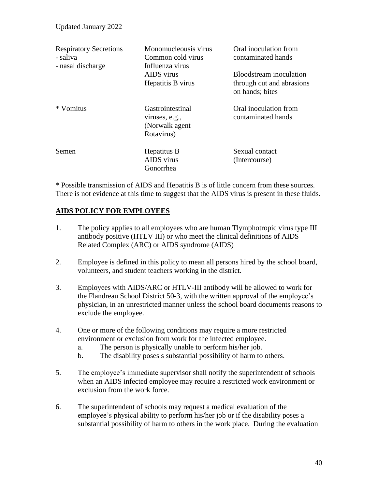| <b>Respiratory Secretions</b><br>- saliva<br>- nasal discharge | Monomucleousis virus<br>Common cold virus<br>Influenza virus<br>AIDS virus<br>Hepatitis B virus | Oral inoculation from<br>contaminated hands<br><b>Bloodstream</b> inoculation<br>through cut and abrasions<br>on hands; bites |
|----------------------------------------------------------------|-------------------------------------------------------------------------------------------------|-------------------------------------------------------------------------------------------------------------------------------|
| * Vomitus                                                      | Gastrointestinal<br>viruses, e.g.,<br>(Norwalk agent)<br>Rotavirus)                             | Oral inoculation from<br>contaminated hands                                                                                   |
| Semen                                                          | Hepatitus B<br>AIDS virus<br>Gonorrhea                                                          | Sexual contact<br>(Intercourse)                                                                                               |

\* Possible transmission of AIDS and Hepatitis B is of little concern from these sources. There is not evidence at this time to suggest that the AIDS virus is present in these fluids.

### **AIDS POLICY FOR EMPLOYEES**

- 1. The policy applies to all employees who are human Tlymphotropic virus type III antibody positive (HTLV III) or who meet the clinical definitions of AIDS Related Complex (ARC) or AIDS syndrome (AIDS)
- 2. Employee is defined in this policy to mean all persons hired by the school board, volunteers, and student teachers working in the district.
- 3. Employees with AIDS/ARC or HTLV-III antibody will be allowed to work for the Flandreau School District 50-3, with the written approval of the employee's physician, in an unrestricted manner unless the school board documents reasons to exclude the employee.
- 4. One or more of the following conditions may require a more restricted environment or exclusion from work for the infected employee.
	- a. The person is physically unable to perform his/her job.
	- b. The disability poses s substantial possibility of harm to others.
- 5. The employee's immediate supervisor shall notify the superintendent of schools when an AIDS infected employee may require a restricted work environment or exclusion from the work force.
- 6. The superintendent of schools may request a medical evaluation of the employee's physical ability to perform his/her job or if the disability poses a substantial possibility of harm to others in the work place. During the evaluation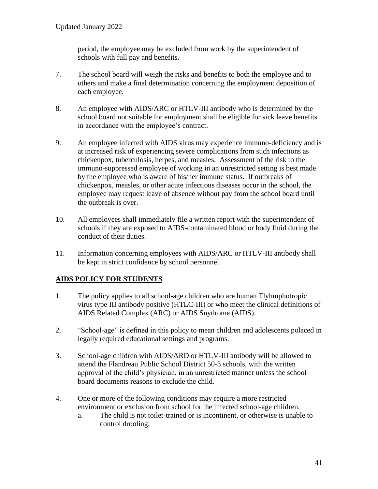period, the employee may be excluded from work by the superintendent of schools with full pay and benefits.

- 7. The school board will weigh the risks and benefits to both the employee and to others and make a final determination concerning the employment deposition of each employee.
- 8. An employee with AIDS/ARC or HTLV-III antibody who is determined by the school board not suitable for employment shall be eligible for sick leave benefits in accordance with the employee's contract.
- 9. An employee infected with AIDS virus may experience immuno-deficiency and is at increased risk of experiencing severe complications from such infections as chickenpox, tuberculosis, herpes, and measles. Assessment of the risk to the immuno-suppressed employee of working in an unrestricted setting is best made by the employee who is aware of his/her immune status. If outbreaks of chickenpox, measles, or other acute infectious diseases occur in the school, the employee may request leave of absence without pay from the school board until the outbreak is over.
- 10. All employees shall immediately file a written report with the superintendent of schools if they are exposed to AIDS-contaminated blood or body fluid during the conduct of their duties.
- 11. Information concerning employees with AIDS/ARC or HTLV-III antibody shall be kept in strict confidence by school personnel.

# **AIDS POLICY FOR STUDENTS**

- 1. The policy applies to all school-age children who are human Tlyhmphotropic virus type III antibody positive (HTLC-III) or who meet the clinical definitions of AIDS Related Complex (ARC) or AIDS Snydrome (AIDS).
- 2. "School-age" is defined in this policy to mean children and adolescents polaced in legally required educational settings and programs.
- 3. School-age children with AIDS/ARD or HTLV-III antibody will be allowed to attend the Flandreau Public School District 50-3 schools, with the written approval of the child's physician, in an unrestricted manner unless the school board documents reasons to exclude the child.
- 4. One or more of the following conditions may require a more restricted environment or exclusion from school for the infected school-age children.
	- a. The child is not toilet-trained or is incontinent, or otherwise is unable to control drooling;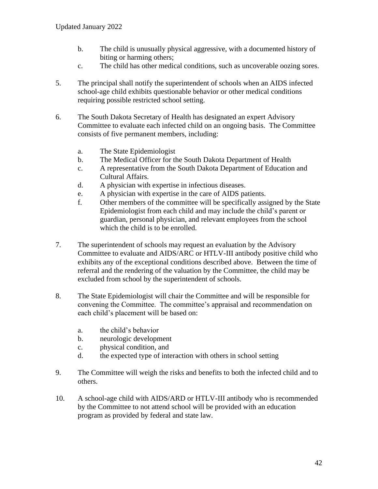- b. The child is unusually physical aggressive, with a documented history of biting or harming others;
- c. The child has other medical conditions, such as uncoverable oozing sores.
- 5. The principal shall notify the superintendent of schools when an AIDS infected school-age child exhibits questionable behavior or other medical conditions requiring possible restricted school setting.
- 6. The South Dakota Secretary of Health has designated an expert Advisory Committee to evaluate each infected child on an ongoing basis. The Committee consists of five permanent members, including:
	- a. The State Epidemiologist
	- b. The Medical Officer for the South Dakota Department of Health
	- c. A representative from the South Dakota Department of Education and Cultural Affairs.
	- d. A physician with expertise in infectious diseases.
	- e. A physician with expertise in the care of AIDS patients.
	- f. Other members of the committee will be specifically assigned by the State Epidemiologist from each child and may include the child's parent or guardian, personal physician, and relevant employees from the school which the child is to be enrolled.
- 7. The superintendent of schools may request an evaluation by the Advisory Committee to evaluate and AIDS/ARC or HTLV-III antibody positive child who exhibits any of the exceptional conditions described above. Between the time of referral and the rendering of the valuation by the Committee, the child may be excluded from school by the superintendent of schools.
- 8. The State Epidemiologist will chair the Committee and will be responsible for convening the Committee. The committee's appraisal and recommendation on each child's placement will be based on:
	- a. the child's behavior
	- b. neurologic development
	- c. physical condition, and
	- d. the expected type of interaction with others in school setting
- 9. The Committee will weigh the risks and benefits to both the infected child and to others.
- 10. A school-age child with AIDS/ARD or HTLV-III antibody who is recommended by the Committee to not attend school will be provided with an education program as provided by federal and state law.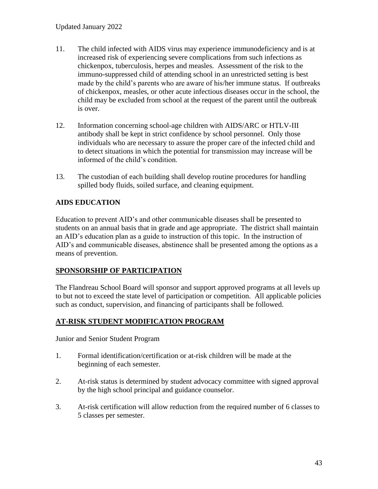- 11. The child infected with AIDS virus may experience immunodeficiency and is at increased risk of experiencing severe complications from such infections as chickenpox, tuberculosis, herpes and measles. Assessment of the risk to the immuno-suppressed child of attending school in an unrestricted setting is best made by the child's parents who are aware of his/her immune status. If outbreaks of chickenpox, measles, or other acute infectious diseases occur in the school, the child may be excluded from school at the request of the parent until the outbreak is over.
- 12. Information concerning school-age children with AIDS/ARC or HTLV-III antibody shall be kept in strict confidence by school personnel. Only those individuals who are necessary to assure the proper care of the infected child and to detect situations in which the potential for transmission may increase will be informed of the child's condition.
- 13. The custodian of each building shall develop routine procedures for handling spilled body fluids, soiled surface, and cleaning equipment.

# **AIDS EDUCATION**

Education to prevent AID's and other communicable diseases shall be presented to students on an annual basis that in grade and age appropriate. The district shall maintain an AID's education plan as a guide to instruction of this topic. In the instruction of AID's and communicable diseases, abstinence shall be presented among the options as a means of prevention.

## **SPONSORSHIP OF PARTICIPATION**

The Flandreau School Board will sponsor and support approved programs at all levels up to but not to exceed the state level of participation or competition. All applicable policies such as conduct, supervision, and financing of participants shall be followed.

### **AT-RISK STUDENT MODIFICATION PROGRAM**

Junior and Senior Student Program

- 1. Formal identification/certification or at-risk children will be made at the beginning of each semester.
- 2. At-risk status is determined by student advocacy committee with signed approval by the high school principal and guidance counselor.
- 3. At-risk certification will allow reduction from the required number of 6 classes to 5 classes per semester.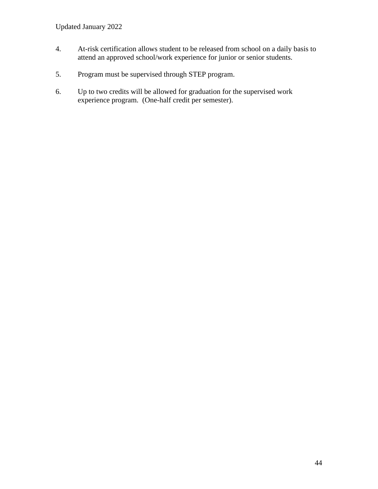- 4. At-risk certification allows student to be released from school on a daily basis to attend an approved school/work experience for junior or senior students.
- 5. Program must be supervised through STEP program.
- 6. Up to two credits will be allowed for graduation for the supervised work experience program. (One-half credit per semester).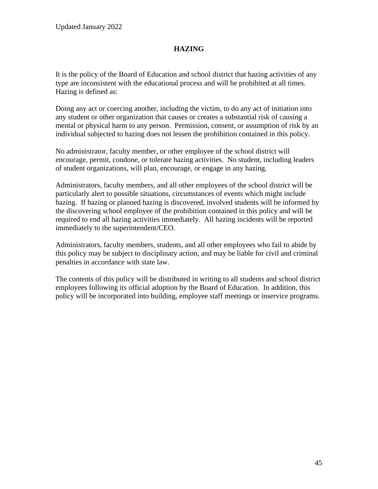### **HAZING**

It is the policy of the Board of Education and school district that hazing activities of any type are inconsistent with the educational process and will be prohibited at all times. Hazing is defined as:

Doing any act or coercing another, including the victim, to do any act of initiation into any student or other organization that causes or creates a substantial risk of causing a mental or physical harm to any person. Permission, consent, or assumption of risk by an individual subjected to hazing does not lessen the prohibition contained in this policy.

No administrator, faculty member, or other employee of the school district will encourage, permit, condone, or tolerate hazing activities. No student, including leaders of student organizations, will plan, encourage, or engage in any hazing.

Administrators, faculty members, and all other employees of the school district will be particularly alert to possible situations, circumstances of events which might include hazing. If hazing or planned hazing is discovered, involved students will be informed by the discovering school employee of the prohibition contained in this policy and will be required to end all hazing activities immediately. All hazing incidents will be reported immediately to the superintendent/CEO.

Administrators, faculty members, students, and all other employees who fail to abide by this policy may be subject to disciplinary action, and may be liable for civil and criminal penalties in accordance with state law.

The contents of this policy will be distributed in writing to all students and school district employees following its official adoption by the Board of Education. In addition, this policy will be incorporated into building, employee staff meetings or inservice programs.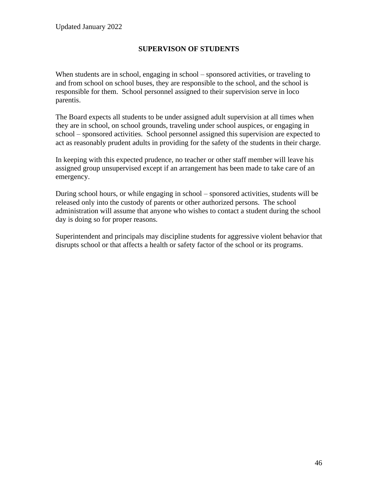### **SUPERVISON OF STUDENTS**

When students are in school, engaging in school – sponsored activities, or traveling to and from school on school buses, they are responsible to the school, and the school is responsible for them. School personnel assigned to their supervision serve in loco parentis.

The Board expects all students to be under assigned adult supervision at all times when they are in school, on school grounds, traveling under school auspices, or engaging in school – sponsored activities. School personnel assigned this supervision are expected to act as reasonably prudent adults in providing for the safety of the students in their charge.

In keeping with this expected prudence, no teacher or other staff member will leave his assigned group unsupervised except if an arrangement has been made to take care of an emergency.

During school hours, or while engaging in school – sponsored activities, students will be released only into the custody of parents or other authorized persons. The school administration will assume that anyone who wishes to contact a student during the school day is doing so for proper reasons.

Superintendent and principals may discipline students for aggressive violent behavior that disrupts school or that affects a health or safety factor of the school or its programs.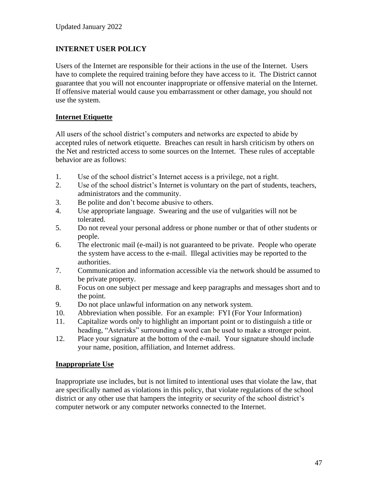### **INTERNET USER POLICY**

Users of the Internet are responsible for their actions in the use of the Internet. Users have to complete the required training before they have access to it. The District cannot guarantee that you will not encounter inappropriate or offensive material on the Internet. If offensive material would cause you embarrassment or other damage, you should not use the system.

### **Internet Etiquette**

All users of the school district's computers and networks are expected to abide by accepted rules of network etiquette. Breaches can result in harsh criticism by others on the Net and restricted access to some sources on the Internet. These rules of acceptable behavior are as follows:

- 1. Use of the school district's Internet access is a privilege, not a right.
- 2. Use of the school district's Internet is voluntary on the part of students, teachers, administrators and the community.
- 3. Be polite and don't become abusive to others.
- 4. Use appropriate language. Swearing and the use of vulgarities will not be tolerated.
- 5. Do not reveal your personal address or phone number or that of other students or people.
- 6. The electronic mail (e-mail) is not guaranteed to be private. People who operate the system have access to the e-mail. Illegal activities may be reported to the authorities.
- 7. Communication and information accessible via the network should be assumed to be private property.
- 8. Focus on one subject per message and keep paragraphs and messages short and to the point.
- 9. Do not place unlawful information on any network system.
- 10. Abbreviation when possible. For an example: FYI (For Your Information)
- 11. Capitalize words only to highlight an important point or to distinguish a title or heading, "Asterisks" surrounding a word can be used to make a stronger point.
- 12. Place your signature at the bottom of the e-mail. Your signature should include your name, position, affiliation, and Internet address.

### **Inappropriate Use**

Inappropriate use includes, but is not limited to intentional uses that violate the law, that are specifically named as violations in this policy, that violate regulations of the school district or any other use that hampers the integrity or security of the school district's computer network or any computer networks connected to the Internet.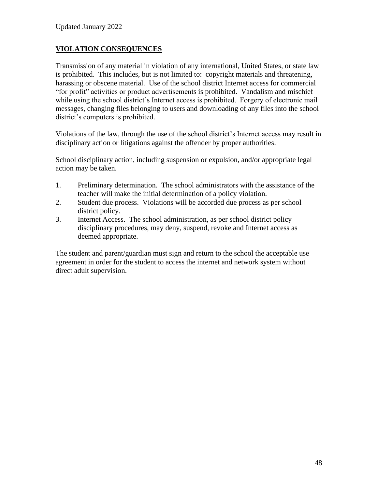### **VIOLATION CONSEQUENCES**

Transmission of any material in violation of any international, United States, or state law is prohibited. This includes, but is not limited to: copyright materials and threatening, harassing or obscene material. Use of the school district Internet access for commercial "for profit" activities or product advertisements is prohibited. Vandalism and mischief while using the school district's Internet access is prohibited. Forgery of electronic mail messages, changing files belonging to users and downloading of any files into the school district's computers is prohibited.

Violations of the law, through the use of the school district's Internet access may result in disciplinary action or litigations against the offender by proper authorities.

School disciplinary action, including suspension or expulsion, and/or appropriate legal action may be taken.

- 1. Preliminary determination. The school administrators with the assistance of the teacher will make the initial determination of a policy violation.
- 2. Student due process. Violations will be accorded due process as per school district policy.
- 3. Internet Access. The school administration, as per school district policy disciplinary procedures, may deny, suspend, revoke and Internet access as deemed appropriate.

The student and parent/guardian must sign and return to the school the acceptable use agreement in order for the student to access the internet and network system without direct adult supervision.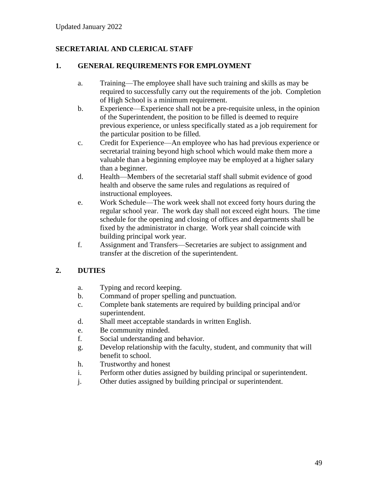# **SECRETARIAL AND CLERICAL STAFF**

### **1. GENERAL REQUIREMENTS FOR EMPLOYMENT**

- a. Training—The employee shall have such training and skills as may be required to successfully carry out the requirements of the job. Completion of High School is a minimum requirement.
- b. Experience—Experience shall not be a pre-requisite unless, in the opinion of the Superintendent, the position to be filled is deemed to require previous experience, or unless specifically stated as a job requirement for the particular position to be filled.
- c. Credit for Experience—An employee who has had previous experience or secretarial training beyond high school which would make them more a valuable than a beginning employee may be employed at a higher salary than a beginner.
- d. Health—Members of the secretarial staff shall submit evidence of good health and observe the same rules and regulations as required of instructional employees.
- e. Work Schedule—The work week shall not exceed forty hours during the regular school year. The work day shall not exceed eight hours. The time schedule for the opening and closing of offices and departments shall be fixed by the administrator in charge. Work year shall coincide with building principal work year.
- f. Assignment and Transfers—Secretaries are subject to assignment and transfer at the discretion of the superintendent.

### **2. DUTIES**

- a. Typing and record keeping.
- b. Command of proper spelling and punctuation.
- c. Complete bank statements are required by building principal and/or superintendent.
- d. Shall meet acceptable standards in written English.
- e. Be community minded.
- f. Social understanding and behavior.
- g. Develop relationship with the faculty, student, and community that will benefit to school.
- h. Trustworthy and honest
- i. Perform other duties assigned by building principal or superintendent.
- j. Other duties assigned by building principal or superintendent.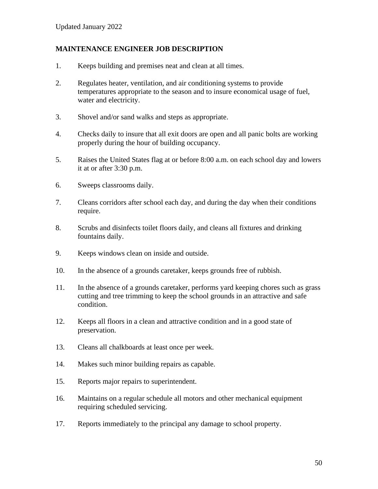### **MAINTENANCE ENGINEER JOB DESCRIPTION**

- 1. Keeps building and premises neat and clean at all times.
- 2. Regulates heater, ventilation, and air conditioning systems to provide temperatures appropriate to the season and to insure economical usage of fuel, water and electricity.
- 3. Shovel and/or sand walks and steps as appropriate.
- 4. Checks daily to insure that all exit doors are open and all panic bolts are working properly during the hour of building occupancy.
- 5. Raises the United States flag at or before 8:00 a.m. on each school day and lowers it at or after 3:30 p.m.
- 6. Sweeps classrooms daily.
- 7. Cleans corridors after school each day, and during the day when their conditions require.
- 8. Scrubs and disinfects toilet floors daily, and cleans all fixtures and drinking fountains daily.
- 9. Keeps windows clean on inside and outside.
- 10. In the absence of a grounds caretaker, keeps grounds free of rubbish.
- 11. In the absence of a grounds caretaker, performs yard keeping chores such as grass cutting and tree trimming to keep the school grounds in an attractive and safe condition.
- 12. Keeps all floors in a clean and attractive condition and in a good state of preservation.
- 13. Cleans all chalkboards at least once per week.
- 14. Makes such minor building repairs as capable.
- 15. Reports major repairs to superintendent.
- 16. Maintains on a regular schedule all motors and other mechanical equipment requiring scheduled servicing.
- 17. Reports immediately to the principal any damage to school property.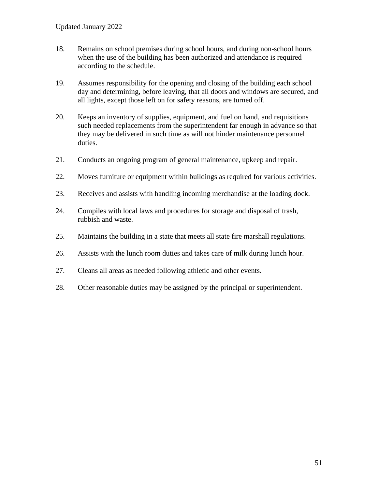- 18. Remains on school premises during school hours, and during non-school hours when the use of the building has been authorized and attendance is required according to the schedule.
- 19. Assumes responsibility for the opening and closing of the building each school day and determining, before leaving, that all doors and windows are secured, and all lights, except those left on for safety reasons, are turned off.
- 20. Keeps an inventory of supplies, equipment, and fuel on hand, and requisitions such needed replacements from the superintendent far enough in advance so that they may be delivered in such time as will not hinder maintenance personnel duties.
- 21. Conducts an ongoing program of general maintenance, upkeep and repair.
- 22. Moves furniture or equipment within buildings as required for various activities.
- 23. Receives and assists with handling incoming merchandise at the loading dock.
- 24. Compiles with local laws and procedures for storage and disposal of trash, rubbish and waste.
- 25. Maintains the building in a state that meets all state fire marshall regulations.
- 26. Assists with the lunch room duties and takes care of milk during lunch hour.
- 27. Cleans all areas as needed following athletic and other events.
- 28. Other reasonable duties may be assigned by the principal or superintendent.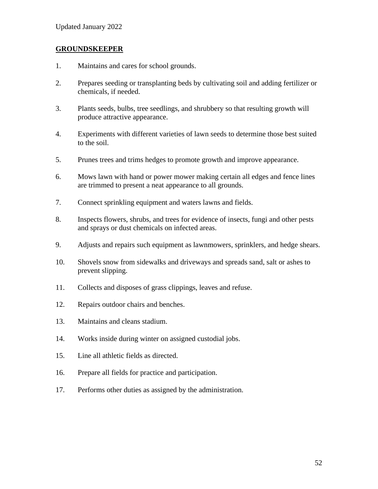### **GROUNDSKEEPER**

- 1. Maintains and cares for school grounds.
- 2. Prepares seeding or transplanting beds by cultivating soil and adding fertilizer or chemicals, if needed.
- 3. Plants seeds, bulbs, tree seedlings, and shrubbery so that resulting growth will produce attractive appearance.
- 4. Experiments with different varieties of lawn seeds to determine those best suited to the soil.
- 5. Prunes trees and trims hedges to promote growth and improve appearance.
- 6. Mows lawn with hand or power mower making certain all edges and fence lines are trimmed to present a neat appearance to all grounds.
- 7. Connect sprinkling equipment and waters lawns and fields.
- 8. Inspects flowers, shrubs, and trees for evidence of insects, fungi and other pests and sprays or dust chemicals on infected areas.
- 9. Adjusts and repairs such equipment as lawnmowers, sprinklers, and hedge shears.
- 10. Shovels snow from sidewalks and driveways and spreads sand, salt or ashes to prevent slipping.
- 11. Collects and disposes of grass clippings, leaves and refuse.
- 12. Repairs outdoor chairs and benches.
- 13. Maintains and cleans stadium.
- 14. Works inside during winter on assigned custodial jobs.
- 15. Line all athletic fields as directed.
- 16. Prepare all fields for practice and participation.
- 17. Performs other duties as assigned by the administration.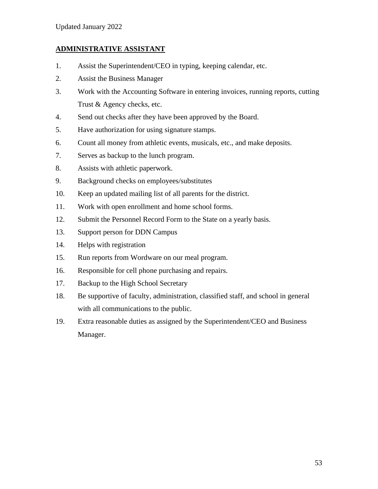### **ADMINISTRATIVE ASSISTANT**

- 1. Assist the Superintendent/CEO in typing, keeping calendar, etc.
- 2. Assist the Business Manager
- 3. Work with the Accounting Software in entering invoices, running reports, cutting Trust & Agency checks, etc.
- 4. Send out checks after they have been approved by the Board.
- 5. Have authorization for using signature stamps.
- 6. Count all money from athletic events, musicals, etc., and make deposits.
- 7. Serves as backup to the lunch program.
- 8. Assists with athletic paperwork.
- 9. Background checks on employees/substitutes
- 10. Keep an updated mailing list of all parents for the district.
- 11. Work with open enrollment and home school forms.
- 12. Submit the Personnel Record Form to the State on a yearly basis.
- 13. Support person for DDN Campus
- 14. Helps with registration
- 15. Run reports from Wordware on our meal program.
- 16. Responsible for cell phone purchasing and repairs.
- 17. Backup to the High School Secretary
- 18. Be supportive of faculty, administration, classified staff, and school in general with all communications to the public.
- 19. Extra reasonable duties as assigned by the Superintendent/CEO and Business Manager.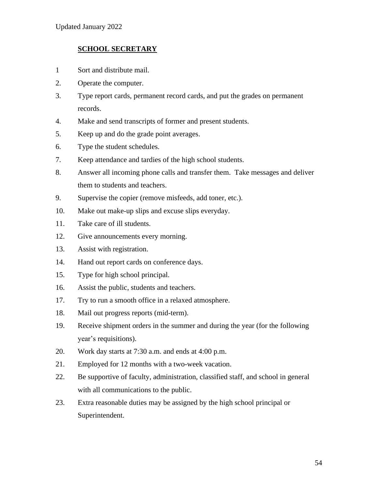### **SCHOOL SECRETARY**

- 1 Sort and distribute mail.
- 2. Operate the computer.
- 3. Type report cards, permanent record cards, and put the grades on permanent records.
- 4. Make and send transcripts of former and present students.
- 5. Keep up and do the grade point averages.
- 6. Type the student schedules.
- 7. Keep attendance and tardies of the high school students.
- 8. Answer all incoming phone calls and transfer them. Take messages and deliver them to students and teachers.
- 9. Supervise the copier (remove misfeeds, add toner, etc.).
- 10. Make out make-up slips and excuse slips everyday.
- 11. Take care of ill students.
- 12. Give announcements every morning.
- 13. Assist with registration.
- 14. Hand out report cards on conference days.
- 15. Type for high school principal.
- 16. Assist the public, students and teachers.
- 17. Try to run a smooth office in a relaxed atmosphere.
- 18. Mail out progress reports (mid-term).
- 19. Receive shipment orders in the summer and during the year (for the following year's requisitions).
- 20. Work day starts at 7:30 a.m. and ends at 4:00 p.m.
- 21. Employed for 12 months with a two-week vacation.
- 22. Be supportive of faculty, administration, classified staff, and school in general with all communications to the public.
- 23. Extra reasonable duties may be assigned by the high school principal or Superintendent.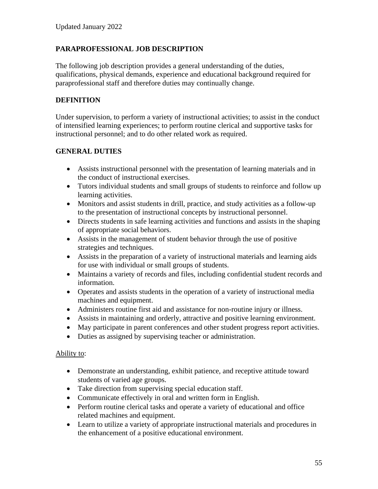## **PARAPROFESSIONAL JOB DESCRIPTION**

The following job description provides a general understanding of the duties, qualifications, physical demands, experience and educational background required for paraprofessional staff and therefore duties may continually change.

### **DEFINITION**

Under supervision, to perform a variety of instructional activities; to assist in the conduct of intensified learning experiences; to perform routine clerical and supportive tasks for instructional personnel; and to do other related work as required.

### **GENERAL DUTIES**

- Assists instructional personnel with the presentation of learning materials and in the conduct of instructional exercises.
- Tutors individual students and small groups of students to reinforce and follow up learning activities.
- Monitors and assist students in drill, practice, and study activities as a follow-up to the presentation of instructional concepts by instructional personnel.
- Directs students in safe learning activities and functions and assists in the shaping of appropriate social behaviors.
- Assists in the management of student behavior through the use of positive strategies and techniques.
- Assists in the preparation of a variety of instructional materials and learning aids for use with individual or small groups of students.
- Maintains a variety of records and files, including confidential student records and information.
- Operates and assists students in the operation of a variety of instructional media machines and equipment.
- Administers routine first aid and assistance for non-routine injury or illness.
- Assists in maintaining and orderly, attractive and positive learning environment.
- May participate in parent conferences and other student progress report activities.
- Duties as assigned by supervising teacher or administration.

### Ability to:

- Demonstrate an understanding, exhibit patience, and receptive attitude toward students of varied age groups.
- Take direction from supervising special education staff.
- Communicate effectively in oral and written form in English.
- Perform routine clerical tasks and operate a variety of educational and office related machines and equipment.
- Learn to utilize a variety of appropriate instructional materials and procedures in the enhancement of a positive educational environment.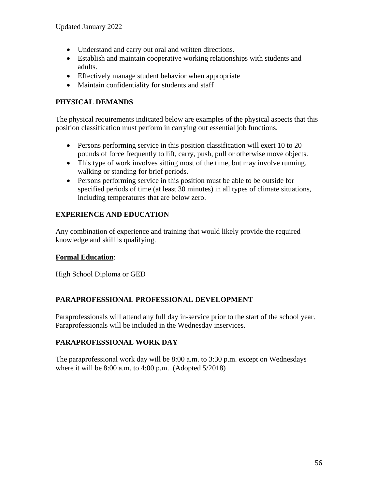- Understand and carry out oral and written directions.
- Establish and maintain cooperative working relationships with students and adults.
- Effectively manage student behavior when appropriate
- Maintain confidentiality for students and staff

## **PHYSICAL DEMANDS**

The physical requirements indicated below are examples of the physical aspects that this position classification must perform in carrying out essential job functions.

- Persons performing service in this position classification will exert 10 to 20 pounds of force frequently to lift, carry, push, pull or otherwise move objects.
- This type of work involves sitting most of the time, but may involve running, walking or standing for brief periods.
- Persons performing service in this position must be able to be outside for specified periods of time (at least 30 minutes) in all types of climate situations, including temperatures that are below zero.

# **EXPERIENCE AND EDUCATION**

Any combination of experience and training that would likely provide the required knowledge and skill is qualifying.

## **Formal Education**:

High School Diploma or GED

## **PARAPROFESSIONAL PROFESSIONAL DEVELOPMENT**

Paraprofessionals will attend any full day in-service prior to the start of the school year. Paraprofessionals will be included in the Wednesday inservices.

# **PARAPROFESSIONAL WORK DAY**

The paraprofessional work day will be 8:00 a.m. to 3:30 p.m. except on Wednesdays where it will be 8:00 a.m. to 4:00 p.m. (Adopted 5/2018)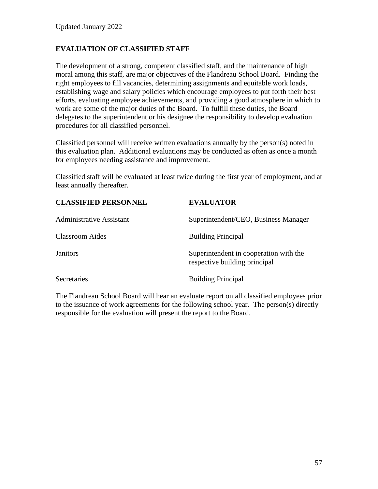## **EVALUATION OF CLASSIFIED STAFF**

The development of a strong, competent classified staff, and the maintenance of high moral among this staff, are major objectives of the Flandreau School Board. Finding the right employees to fill vacancies, determining assignments and equitable work loads, establishing wage and salary policies which encourage employees to put forth their best efforts, evaluating employee achievements, and providing a good atmosphere in which to work are some of the major duties of the Board. To fulfill these duties, the Board delegates to the superintendent or his designee the responsibility to develop evaluation procedures for all classified personnel.

Classified personnel will receive written evaluations annually by the person(s) noted in this evaluation plan. Additional evaluations may be conducted as often as once a month for employees needing assistance and improvement.

Classified staff will be evaluated at least twice during the first year of employment, and at least annually thereafter.

| <b>CLASSIFIED PERSONNEL</b>     | <b>EVALUATOR</b>                                                        |
|---------------------------------|-------------------------------------------------------------------------|
| <b>Administrative Assistant</b> | Superintendent/CEO, Business Manager                                    |
| <b>Classroom Aides</b>          | <b>Building Principal</b>                                               |
| <b>Janitors</b>                 | Superintendent in cooperation with the<br>respective building principal |
| Secretaries                     | <b>Building Principal</b>                                               |

The Flandreau School Board will hear an evaluate report on all classified employees prior to the issuance of work agreements for the following school year. The person(s) directly responsible for the evaluation will present the report to the Board.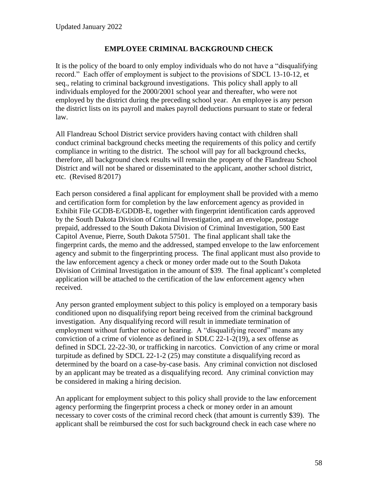### **EMPLOYEE CRIMINAL BACKGROUND CHECK**

It is the policy of the board to only employ individuals who do not have a "disqualifying record." Each offer of employment is subject to the provisions of SDCL 13-10-12, et seq., relating to criminal background investigations. This policy shall apply to all individuals employed for the 2000/2001 school year and thereafter, who were not employed by the district during the preceding school year. An employee is any person the district lists on its payroll and makes payroll deductions pursuant to state or federal law.

All Flandreau School District service providers having contact with children shall conduct criminal background checks meeting the requirements of this policy and certify compliance in writing to the district. The school will pay for all background checks, therefore, all background check results will remain the property of the Flandreau School District and will not be shared or disseminated to the applicant, another school district, etc. (Revised 8/2017)

Each person considered a final applicant for employment shall be provided with a memo and certification form for completion by the law enforcement agency as provided in Exhibit File GCDB-E/GDDB-E, together with fingerprint identification cards approved by the South Dakota Division of Criminal Investigation, and an envelope, postage prepaid, addressed to the South Dakota Division of Criminal Investigation, 500 East Capitol Avenue, Pierre, South Dakota 57501. The final applicant shall take the fingerprint cards, the memo and the addressed, stamped envelope to the law enforcement agency and submit to the fingerprinting process. The final applicant must also provide to the law enforcement agency a check or money order made out to the South Dakota Division of Criminal Investigation in the amount of \$39. The final applicant's completed application will be attached to the certification of the law enforcement agency when received.

Any person granted employment subject to this policy is employed on a temporary basis conditioned upon no disqualifying report being received from the criminal background investigation. Any disqualifying record will result in immediate termination of employment without further notice or hearing. A "disqualifying record" means any conviction of a crime of violence as defined in SDLC 22-1-2(19), a sex offense as defined in SDCL 22-22-30, or trafficking in narcotics. Conviction of any crime or moral turpitude as defined by SDCL 22-1-2 (25) may constitute a disqualifying record as determined by the board on a case-by-case basis. Any criminal conviction not disclosed by an applicant may be treated as a disqualifying record. Any criminal conviction may be considered in making a hiring decision.

An applicant for employment subject to this policy shall provide to the law enforcement agency performing the fingerprint process a check or money order in an amount necessary to cover costs of the criminal record check (that amount is currently \$39). The applicant shall be reimbursed the cost for such background check in each case where no